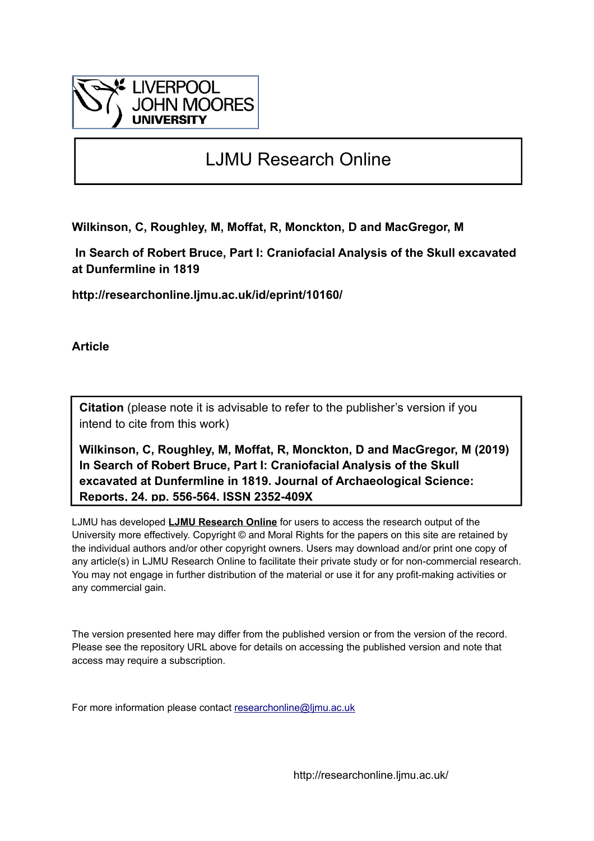

# LJMU Research Online

**Wilkinson, C, Roughley, M, Moffat, R, Monckton, D and MacGregor, M**

 **In Search of Robert Bruce, Part I: Craniofacial Analysis of the Skull excavated at Dunfermline in 1819**

**http://researchonline.ljmu.ac.uk/id/eprint/10160/**

**Article**

**Citation** (please note it is advisable to refer to the publisher's version if you intend to cite from this work)

**Wilkinson, C, Roughley, M, Moffat, R, Monckton, D and MacGregor, M (2019) In Search of Robert Bruce, Part I: Craniofacial Analysis of the Skull excavated at Dunfermline in 1819. Journal of Archaeological Science: Reports, 24. pp. 556-564. ISSN 2352-409X** 

LJMU has developed **[LJMU Research Online](http://researchonline.ljmu.ac.uk/)** for users to access the research output of the University more effectively. Copyright © and Moral Rights for the papers on this site are retained by the individual authors and/or other copyright owners. Users may download and/or print one copy of any article(s) in LJMU Research Online to facilitate their private study or for non-commercial research. You may not engage in further distribution of the material or use it for any profit-making activities or any commercial gain.

The version presented here may differ from the published version or from the version of the record. Please see the repository URL above for details on accessing the published version and note that access may require a subscription.

For more information please contact [researchonline@ljmu.ac.uk](mailto:researchonline@ljmu.ac.uk)

http://researchonline.ljmu.ac.uk/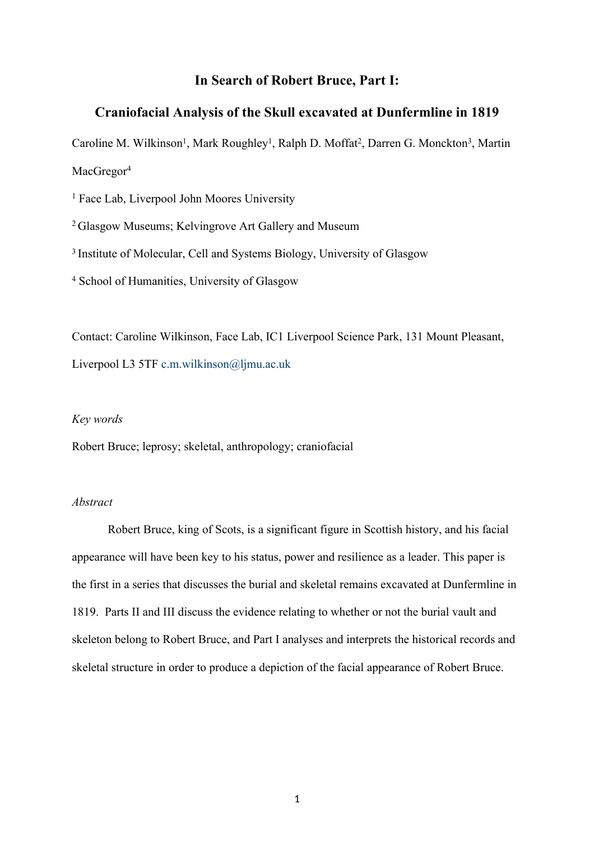## **In Search of Robert Bruce, Part I:**

## **Craniofacial Analysis of the Skull excavated at Dunfermline in 1819**

Caroline M. Wilkinson<sup>1</sup>, Mark Roughley<sup>1</sup>, Ralph D. Moffat<sup>2</sup>, Darren G. Monckton<sup>3</sup>, Martin MacGregor<sup>4</sup>

<sup>1</sup> Face Lab, Liverpool John Moores University

<sup>2</sup>Glasgow Museums; Kelvingrove Art Gallery and Museum

<sup>3</sup> Institute of Molecular, Cell and Systems Biology, University of Glasgow

4 School of Humanities, University of Glasgow

Contact: Caroline Wilkinson, Face Lab, IC1 Liverpool Science Park, 131 Mount Pleasant, Liverpool L3 5TF [c.m.wilkinson@ljmu.ac.uk](mailto:c.m.wilkinson@ljmu.ac.uk)

#### *Key words*

Robert Bruce; leprosy; skeletal, anthropology; craniofacial

### *Abstract*

Robert Bruce, king of Scots, is a significant figure in Scottish history, and his facial appearance will have been key to his status, power and resilience as a leader. This paper is the first in a series that discusses the burial and skeletal remains excavated at Dunfermline in 1819. Parts II and III discuss the evidence relating to whether or not the burial vault and skeleton belong to Robert Bruce, and Part I analyses and interprets the historical records and skeletal structure in order to produce a depiction of the facial appearance of Robert Bruce.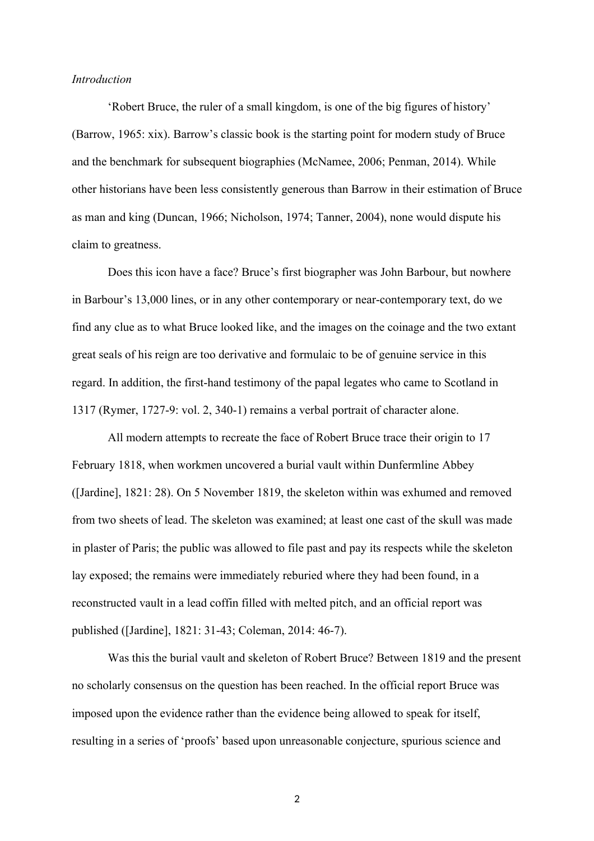#### *Introduction*

'Robert Bruce, the ruler of a small kingdom, is one of the big figures of history' (Barrow, 1965: xix). Barrow's classic book is the starting point for modern study of Bruce and the benchmark for subsequent biographies (McNamee, 2006; Penman, 2014). While other historians have been less consistently generous than Barrow in their estimation of Bruce as man and king (Duncan, 1966; Nicholson, 1974; Tanner, 2004), none would dispute his claim to greatness.

Does this icon have a face? Bruce's first biographer was John Barbour, but nowhere in Barbour's 13,000 lines, or in any other contemporary or near-contemporary text, do we find any clue as to what Bruce looked like, and the images on the coinage and the two extant great seals of his reign are too derivative and formulaic to be of genuine service in this regard. In addition, the first-hand testimony of the papal legates who came to Scotland in 1317 (Rymer, 1727-9: vol. 2, 340-1) remains a verbal portrait of character alone.

All modern attempts to recreate the face of Robert Bruce trace their origin to 17 February 1818, when workmen uncovered a burial vault within Dunfermline Abbey ([Jardine], 1821: 28). On 5 November 1819, the skeleton within was exhumed and removed from two sheets of lead. The skeleton was examined; at least one cast of the skull was made in plaster of Paris; the public was allowed to file past and pay its respects while the skeleton lay exposed; the remains were immediately reburied where they had been found, in a reconstructed vault in a lead coffin filled with melted pitch, and an official report was published ([Jardine], 1821: 31-43; Coleman, 2014: 46-7).

Was this the burial vault and skeleton of Robert Bruce? Between 1819 and the present no scholarly consensus on the question has been reached. In the official report Bruce was imposed upon the evidence rather than the evidence being allowed to speak for itself, resulting in a series of 'proofs' based upon unreasonable conjecture, spurious science and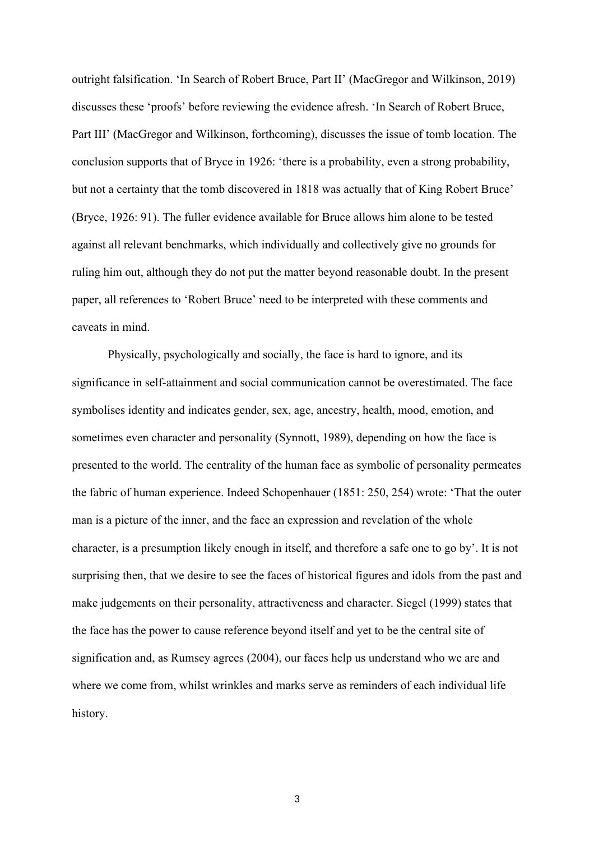outright falsification. 'In Search of Robert Bruce, Part II' (MacGregor and Wilkinson, 2019) discusses these 'proofs' before reviewing the evidence afresh. 'In Search of Robert Bruce, Part III' (MacGregor and Wilkinson, forthcoming), discusses the issue of tomb location. The conclusion supports that of Bryce in 1926: 'there is a probability, even a strong probability, but not a certainty that the tomb discovered in 1818 was actually that of King Robert Bruce' (Bryce, 1926: 91). The fuller evidence available for Bruce allows him alone to be tested against all relevant benchmarks, which individually and collectively give no grounds for ruling him out, although they do not put the matter beyond reasonable doubt. In the present paper, all references to 'Robert Bruce' need to be interpreted with these comments and caveats in mind.

Physically, psychologically and socially, the face is hard to ignore, and its significance in self-attainment and social communication cannot be overestimated. The face symbolises identity and indicates gender, sex, age, ancestry, health, mood, emotion, and sometimes even character and personality (Synnott, 1989), depending on how the face is presented to the world. The centrality of the human face as symbolic of personality permeates the fabric of human experience. Indeed Schopenhauer (1851: 250, 254) wrote: 'That the outer man is a picture of the inner, and the face an expression and revelation of the whole character, is a presumption likely enough in itself, and therefore a safe one to go by'. It is not surprising then, that we desire to see the faces of historical figures and idols from the past and make judgements on their personality, attractiveness and character. Siegel (1999) states that the face has the power to cause reference beyond itself and yet to be the central site of signification and, as Rumsey agrees (2004), our faces help us understand who we are and where we come from, whilst wrinkles and marks serve as reminders of each individual life history.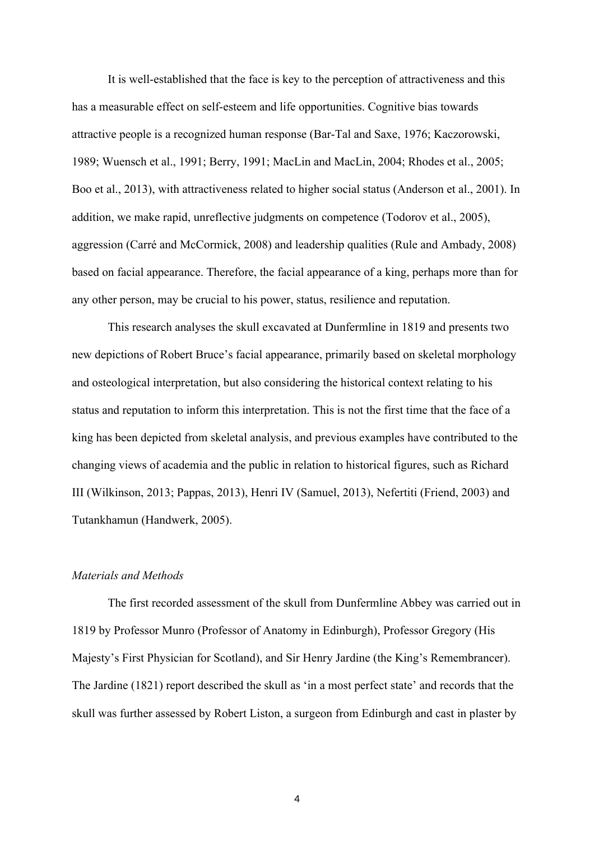It is well-established that the face is key to the perception of attractiveness and this has a measurable effect on self-esteem and life opportunities. Cognitive bias towards attractive people is a recognized human response (Bar-Tal and Saxe, 1976; Kaczorowski, 1989; Wuensch et al., 1991; Berry, 1991; MacLin and MacLin, 2004; Rhodes et al., 2005; Boo et al., 2013), with attractiveness related to higher social status (Anderson et al., 2001). In addition, we make rapid, unreflective judgments on competence (Todorov et al., 2005), aggression (Carré and McCormick, 2008) and leadership qualities (Rule and Ambady, 2008) based on facial appearance. Therefore, the facial appearance of a king, perhaps more than for any other person, may be crucial to his power, status, resilience and reputation.

This research analyses the skull excavated at Dunfermline in 1819 and presents two new depictions of Robert Bruce's facial appearance, primarily based on skeletal morphology and osteological interpretation, but also considering the historical context relating to his status and reputation to inform this interpretation. This is not the first time that the face of a king has been depicted from skeletal analysis, and previous examples have contributed to the changing views of academia and the public in relation to historical figures, such as Richard III (Wilkinson, 2013; Pappas, 2013), Henri IV (Samuel, 2013), Nefertiti (Friend, 2003) and Tutankhamun (Handwerk, 2005).

## *Materials and Methods*

The first recorded assessment of the skull from Dunfermline Abbey was carried out in 1819 by Professor Munro (Professor of Anatomy in Edinburgh), Professor Gregory (His Majesty's First Physician for Scotland), and Sir Henry Jardine (the King's Remembrancer). The Jardine (1821) report described the skull as 'in a most perfect state' and records that the skull was further assessed by Robert Liston, a surgeon from Edinburgh and cast in plaster by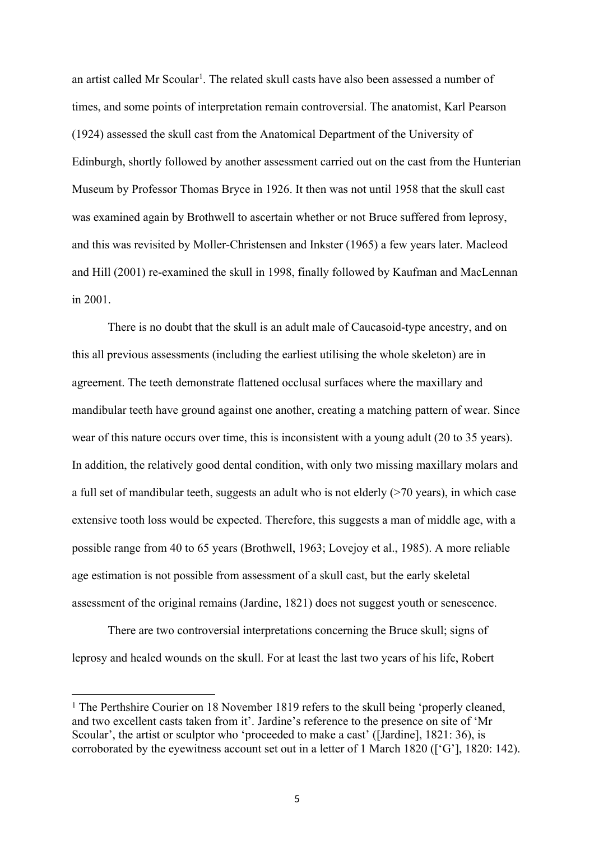an artist called Mr Scoular<sup>1</sup>. The related skull casts have also been assessed a number of times, and some points of interpretation remain controversial. The anatomist, Karl Pearson (1924) assessed the skull cast from the Anatomical Department of the University of Edinburgh, shortly followed by another assessment carried out on the cast from the Hunterian Museum by Professor Thomas Bryce in 1926. It then was not until 1958 that the skull cast was examined again by Brothwell to ascertain whether or not Bruce suffered from leprosy, and this was revisited by Moller-Christensen and Inkster (1965) a few years later. Macleod and Hill (2001) re-examined the skull in 1998, finally followed by Kaufman and MacLennan in 2001.

There is no doubt that the skull is an adult male of Caucasoid-type ancestry, and on this all previous assessments (including the earliest utilising the whole skeleton) are in agreement. The teeth demonstrate flattened occlusal surfaces where the maxillary and mandibular teeth have ground against one another, creating a matching pattern of wear. Since wear of this nature occurs over time, this is inconsistent with a young adult (20 to 35 years). In addition, the relatively good dental condition, with only two missing maxillary molars and a full set of mandibular teeth, suggests an adult who is not elderly (>70 years), in which case extensive tooth loss would be expected. Therefore, this suggests a man of middle age, with a possible range from 40 to 65 years (Brothwell, 1963; Lovejoy et al., 1985). A more reliable age estimation is not possible from assessment of a skull cast, but the early skeletal assessment of the original remains (Jardine, 1821) does not suggest youth or senescence.

There are two controversial interpretations concerning the Bruce skull; signs of leprosy and healed wounds on the skull. For at least the last two years of his life, Robert

<sup>&</sup>lt;sup>1</sup> The Perthshire Courier on 18 November 1819 refers to the skull being 'properly cleaned, and two excellent casts taken from it'. Jardine's reference to the presence on site of 'Mr Scoular', the artist or sculptor who 'proceeded to make a cast' ([Jardine], 1821: 36), is corroborated by the eyewitness account set out in a letter of 1 March 1820 (['G'], 1820: 142).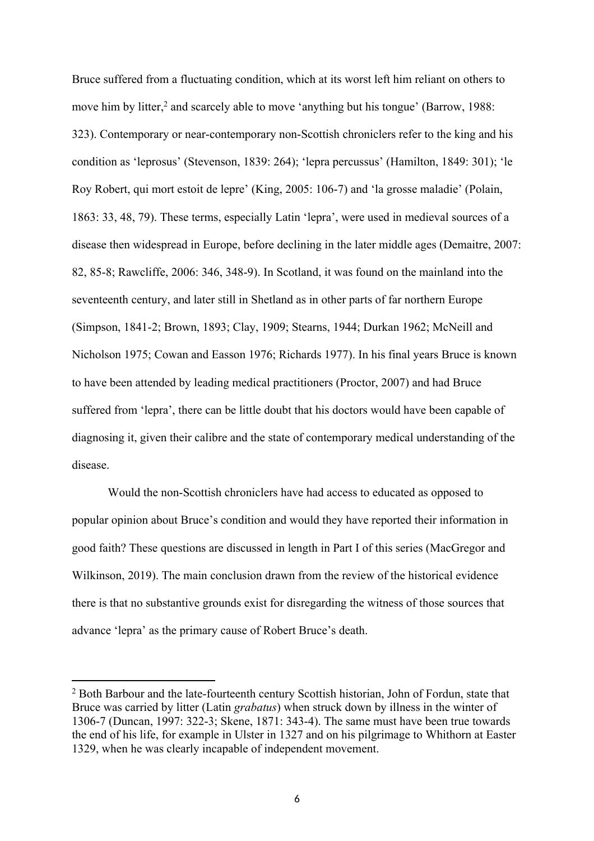Bruce suffered from a fluctuating condition, which at its worst left him reliant on others to move him by litter,<sup>2</sup> and scarcely able to move 'anything but his tongue' (Barrow, 1988: 323). Contemporary or near-contemporary non-Scottish chroniclers refer to the king and his condition as 'leprosus' (Stevenson, 1839: 264); 'lepra percussus' (Hamilton, 1849: 301); 'le Roy Robert, qui mort estoit de lepre' (King, 2005: 106-7) and 'la grosse maladie' (Polain, 1863: 33, 48, 79). These terms, especially Latin 'lepra', were used in medieval sources of a disease then widespread in Europe, before declining in the later middle ages (Demaitre, 2007: 82, 85-8; Rawcliffe, 2006: 346, 348-9). In Scotland, it was found on the mainland into the seventeenth century, and later still in Shetland as in other parts of far northern Europe (Simpson, 1841-2; Brown, 1893; Clay, 1909; Stearns, 1944; Durkan 1962; McNeill and Nicholson 1975; Cowan and Easson 1976; Richards 1977). In his final years Bruce is known to have been attended by leading medical practitioners (Proctor, 2007) and had Bruce suffered from 'lepra', there can be little doubt that his doctors would have been capable of diagnosing it, given their calibre and the state of contemporary medical understanding of the disease.

Would the non-Scottish chroniclers have had access to educated as opposed to popular opinion about Bruce's condition and would they have reported their information in good faith? These questions are discussed in length in Part I of this series (MacGregor and Wilkinson, 2019). The main conclusion drawn from the review of the historical evidence there is that no substantive grounds exist for disregarding the witness of those sources that advance 'lepra' as the primary cause of Robert Bruce's death.

<sup>&</sup>lt;sup>2</sup> Both Barbour and the late-fourteenth century Scottish historian, John of Fordun, state that Bruce was carried by litter (Latin *grabatus*) when struck down by illness in the winter of 1306-7 (Duncan, 1997: 322-3; Skene, 1871: 343-4). The same must have been true towards the end of his life, for example in Ulster in 1327 and on his pilgrimage to Whithorn at Easter 1329, when he was clearly incapable of independent movement.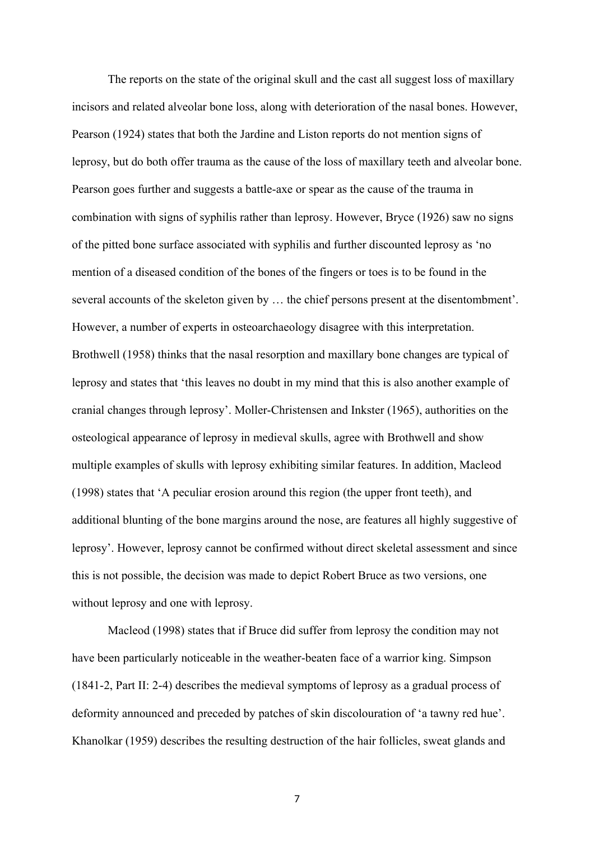The reports on the state of the original skull and the cast all suggest loss of maxillary incisors and related alveolar bone loss, along with deterioration of the nasal bones. However, Pearson (1924) states that both the Jardine and Liston reports do not mention signs of leprosy, but do both offer trauma as the cause of the loss of maxillary teeth and alveolar bone. Pearson goes further and suggests a battle-axe or spear as the cause of the trauma in combination with signs of syphilis rather than leprosy. However, Bryce (1926) saw no signs of the pitted bone surface associated with syphilis and further discounted leprosy as 'no mention of a diseased condition of the bones of the fingers or toes is to be found in the several accounts of the skeleton given by … the chief persons present at the disentombment'. However, a number of experts in osteoarchaeology disagree with this interpretation. Brothwell (1958) thinks that the nasal resorption and maxillary bone changes are typical of leprosy and states that 'this leaves no doubt in my mind that this is also another example of cranial changes through leprosy'. Moller-Christensen and Inkster (1965), authorities on the osteological appearance of leprosy in medieval skulls, agree with Brothwell and show multiple examples of skulls with leprosy exhibiting similar features. In addition, Macleod (1998) states that 'A peculiar erosion around this region (the upper front teeth), and additional blunting of the bone margins around the nose, are features all highly suggestive of leprosy'. However, leprosy cannot be confirmed without direct skeletal assessment and since this is not possible, the decision was made to depict Robert Bruce as two versions, one without leprosy and one with leprosy.

Macleod (1998) states that if Bruce did suffer from leprosy the condition may not have been particularly noticeable in the weather-beaten face of a warrior king. Simpson (1841-2, Part II: 2-4) describes the medieval symptoms of leprosy as a gradual process of deformity announced and preceded by patches of skin discolouration of 'a tawny red hue'. Khanolkar (1959) describes the resulting destruction of the hair follicles, sweat glands and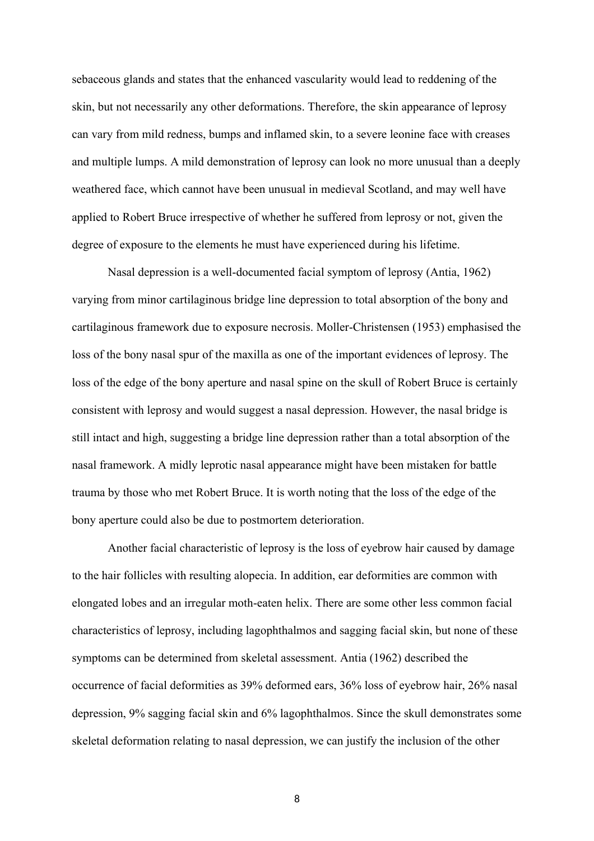sebaceous glands and states that the enhanced vascularity would lead to reddening of the skin, but not necessarily any other deformations. Therefore, the skin appearance of leprosy can vary from mild redness, bumps and inflamed skin, to a severe leonine face with creases and multiple lumps. A mild demonstration of leprosy can look no more unusual than a deeply weathered face, which cannot have been unusual in medieval Scotland, and may well have applied to Robert Bruce irrespective of whether he suffered from leprosy or not, given the degree of exposure to the elements he must have experienced during his lifetime.

Nasal depression is a well-documented facial symptom of leprosy (Antia, 1962) varying from minor cartilaginous bridge line depression to total absorption of the bony and cartilaginous framework due to exposure necrosis. Moller-Christensen (1953) emphasised the loss of the bony nasal spur of the maxilla as one of the important evidences of leprosy. The loss of the edge of the bony aperture and nasal spine on the skull of Robert Bruce is certainly consistent with leprosy and would suggest a nasal depression. However, the nasal bridge is still intact and high, suggesting a bridge line depression rather than a total absorption of the nasal framework. A midly leprotic nasal appearance might have been mistaken for battle trauma by those who met Robert Bruce. It is worth noting that the loss of the edge of the bony aperture could also be due to postmortem deterioration.

Another facial characteristic of leprosy is the loss of eyebrow hair caused by damage to the hair follicles with resulting alopecia. In addition, ear deformities are common with elongated lobes and an irregular moth-eaten helix. There are some other less common facial characteristics of leprosy, including lagophthalmos and sagging facial skin, but none of these symptoms can be determined from skeletal assessment. Antia (1962) described the occurrence of facial deformities as 39% deformed ears, 36% loss of eyebrow hair, 26% nasal depression, 9% sagging facial skin and 6% lagophthalmos. Since the skull demonstrates some skeletal deformation relating to nasal depression, we can justify the inclusion of the other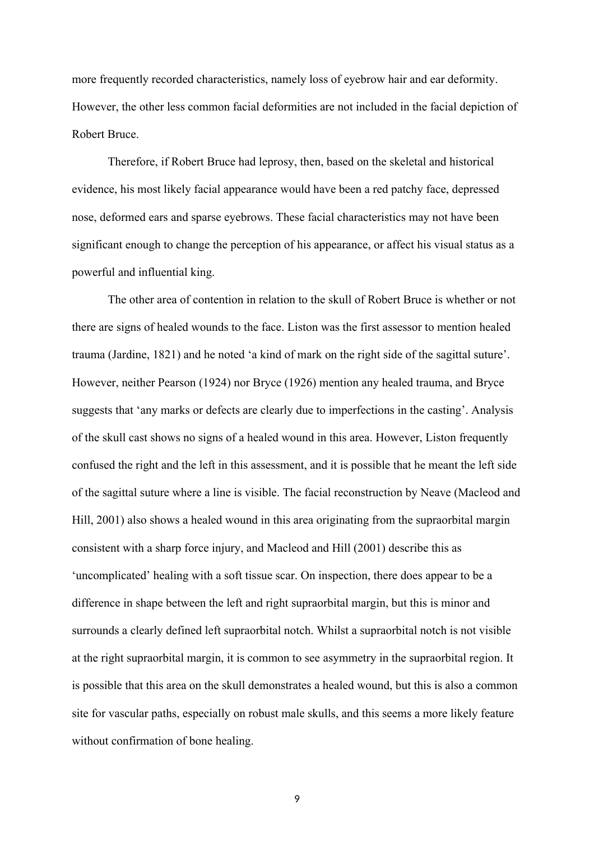more frequently recorded characteristics, namely loss of eyebrow hair and ear deformity. However, the other less common facial deformities are not included in the facial depiction of Robert Bruce.

Therefore, if Robert Bruce had leprosy, then, based on the skeletal and historical evidence, his most likely facial appearance would have been a red patchy face, depressed nose, deformed ears and sparse eyebrows. These facial characteristics may not have been significant enough to change the perception of his appearance, or affect his visual status as a powerful and influential king.

The other area of contention in relation to the skull of Robert Bruce is whether or not there are signs of healed wounds to the face. Liston was the first assessor to mention healed trauma (Jardine, 1821) and he noted 'a kind of mark on the right side of the sagittal suture'. However, neither Pearson (1924) nor Bryce (1926) mention any healed trauma, and Bryce suggests that 'any marks or defects are clearly due to imperfections in the casting'. Analysis of the skull cast shows no signs of a healed wound in this area. However, Liston frequently confused the right and the left in this assessment, and it is possible that he meant the left side of the sagittal suture where a line is visible. The facial reconstruction by Neave (Macleod and Hill, 2001) also shows a healed wound in this area originating from the supraorbital margin consistent with a sharp force injury, and Macleod and Hill (2001) describe this as 'uncomplicated' healing with a soft tissue scar. On inspection, there does appear to be a difference in shape between the left and right supraorbital margin, but this is minor and surrounds a clearly defined left supraorbital notch. Whilst a supraorbital notch is not visible at the right supraorbital margin, it is common to see asymmetry in the supraorbital region. It is possible that this area on the skull demonstrates a healed wound, but this is also a common site for vascular paths, especially on robust male skulls, and this seems a more likely feature without confirmation of bone healing.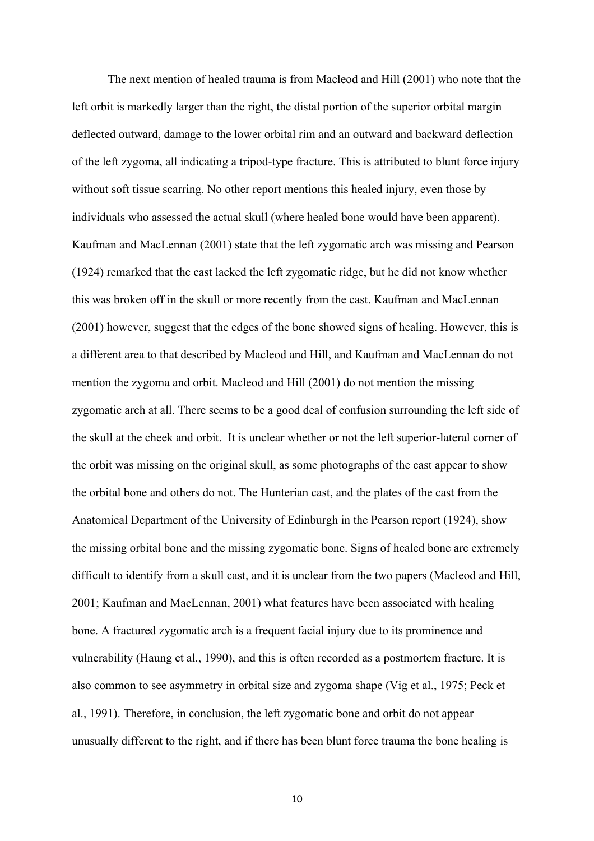The next mention of healed trauma is from Macleod and Hill (2001) who note that the left orbit is markedly larger than the right, the distal portion of the superior orbital margin deflected outward, damage to the lower orbital rim and an outward and backward deflection of the left zygoma, all indicating a tripod-type fracture. This is attributed to blunt force injury without soft tissue scarring. No other report mentions this healed injury, even those by individuals who assessed the actual skull (where healed bone would have been apparent). Kaufman and MacLennan (2001) state that the left zygomatic arch was missing and Pearson (1924) remarked that the cast lacked the left zygomatic ridge, but he did not know whether this was broken off in the skull or more recently from the cast. Kaufman and MacLennan (2001) however, suggest that the edges of the bone showed signs of healing. However, this is a different area to that described by Macleod and Hill, and Kaufman and MacLennan do not mention the zygoma and orbit. Macleod and Hill (2001) do not mention the missing zygomatic arch at all. There seems to be a good deal of confusion surrounding the left side of the skull at the cheek and orbit. It is unclear whether or not the left superior-lateral corner of the orbit was missing on the original skull, as some photographs of the cast appear to show the orbital bone and others do not. The Hunterian cast, and the plates of the cast from the Anatomical Department of the University of Edinburgh in the Pearson report (1924), show the missing orbital bone and the missing zygomatic bone. Signs of healed bone are extremely difficult to identify from a skull cast, and it is unclear from the two papers (Macleod and Hill, 2001; Kaufman and MacLennan, 2001) what features have been associated with healing bone. A fractured zygomatic arch is a frequent facial injury due to its prominence and vulnerability (Haung et al., 1990), and this is often recorded as a postmortem fracture. It is also common to see asymmetry in orbital size and zygoma shape (Vig et al., 1975; Peck et al., 1991). Therefore, in conclusion, the left zygomatic bone and orbit do not appear unusually different to the right, and if there has been blunt force trauma the bone healing is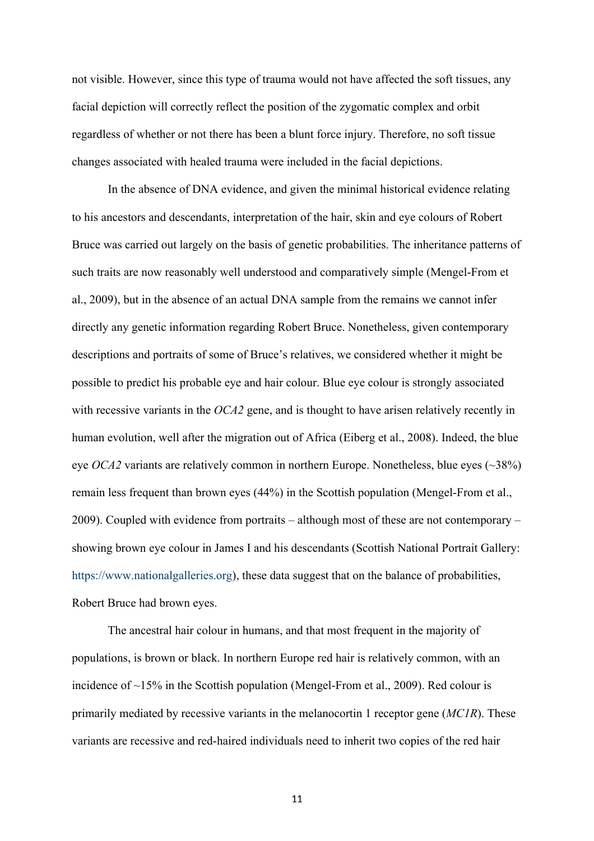not visible. However, since this type of trauma would not have affected the soft tissues, any facial depiction will correctly reflect the position of the zygomatic complex and orbit regardless of whether or not there has been a blunt force injury. Therefore, no soft tissue changes associated with healed trauma were included in the facial depictions.

In the absence of DNA evidence, and given the minimal historical evidence relating to his ancestors and descendants, interpretation of the hair, skin and eye colours of Robert Bruce was carried out largely on the basis of genetic probabilities. The inheritance patterns of such traits are now reasonably well understood and comparatively simple (Mengel-From et al., 2009), but in the absence of an actual DNA sample from the remains we cannot infer directly any genetic information regarding Robert Bruce. Nonetheless, given contemporary descriptions and portraits of some of Bruce's relatives, we considered whether it might be possible to predict his probable eye and hair colour. Blue eye colour is strongly associated with recessive variants in the *OCA2* gene, and is thought to have arisen relatively recently in human evolution, well after the migration out of Africa (Eiberg et al., 2008). Indeed, the blue eye *OCA2* variants are relatively common in northern Europe. Nonetheless, blue eyes  $(\sim 38\%)$ remain less frequent than brown eyes (44%) in the Scottish population (Mengel-From et al., 2009). Coupled with evidence from portraits – although most of these are not contemporary – showing brown eye colour in James I and his descendants (Scottish National Portrait Gallery: [https://www.nationalgalleries.org\)](https://www.nationalgalleries.org), these data suggest that on the balance of probabilities, Robert Bruce had brown eyes.

The ancestral hair colour in humans, and that most frequent in the majority of populations, is brown or black. In northern Europe red hair is relatively common, with an incidence of ~15% in the Scottish population (Mengel-From et al., 2009). Red colour is primarily mediated by recessive variants in the melanocortin 1 receptor gene (*MC1R*). These variants are recessive and red-haired individuals need to inherit two copies of the red hair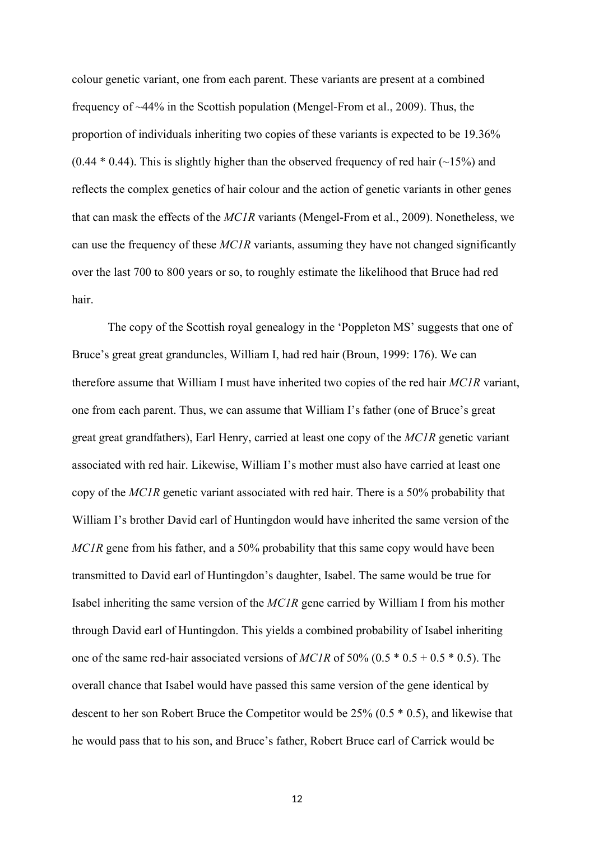colour genetic variant, one from each parent. These variants are present at a combined frequency of ~44% in the Scottish population (Mengel-From et al., 2009). Thus, the proportion of individuals inheriting two copies of these variants is expected to be 19.36%  $(0.44 * 0.44)$ . This is slightly higher than the observed frequency of red hair  $(\sim 15\%)$  and reflects the complex genetics of hair colour and the action of genetic variants in other genes that can mask the effects of the *MC1R* variants (Mengel-From et al., 2009). Nonetheless, we can use the frequency of these *MC1R* variants, assuming they have not changed significantly over the last 700 to 800 years or so, to roughly estimate the likelihood that Bruce had red hair.

The copy of the Scottish royal genealogy in the 'Poppleton MS' suggests that one of Bruce's great great granduncles, William I, had red hair (Broun, 1999: 176). We can therefore assume that William I must have inherited two copies of the red hair *MC1R* variant, one from each parent. Thus, we can assume that William I's father (one of Bruce's great great great grandfathers), Earl Henry, carried at least one copy of the *MC1R* genetic variant associated with red hair. Likewise, William I's mother must also have carried at least one copy of the *MC1R* genetic variant associated with red hair. There is a 50% probability that William I's brother David earl of Huntingdon would have inherited the same version of the *MC1R* gene from his father, and a 50% probability that this same copy would have been transmitted to David earl of Huntingdon's daughter, Isabel. The same would be true for Isabel inheriting the same version of the *MC1R* gene carried by William I from his mother through David earl of Huntingdon. This yields a combined probability of Isabel inheriting one of the same red-hair associated versions of *MC1R* of 50% (0.5 \* 0.5 + 0.5 \* 0.5). The overall chance that Isabel would have passed this same version of the gene identical by descent to her son Robert Bruce the Competitor would be 25% (0.5 \* 0.5), and likewise that he would pass that to his son, and Bruce's father, Robert Bruce earl of Carrick would be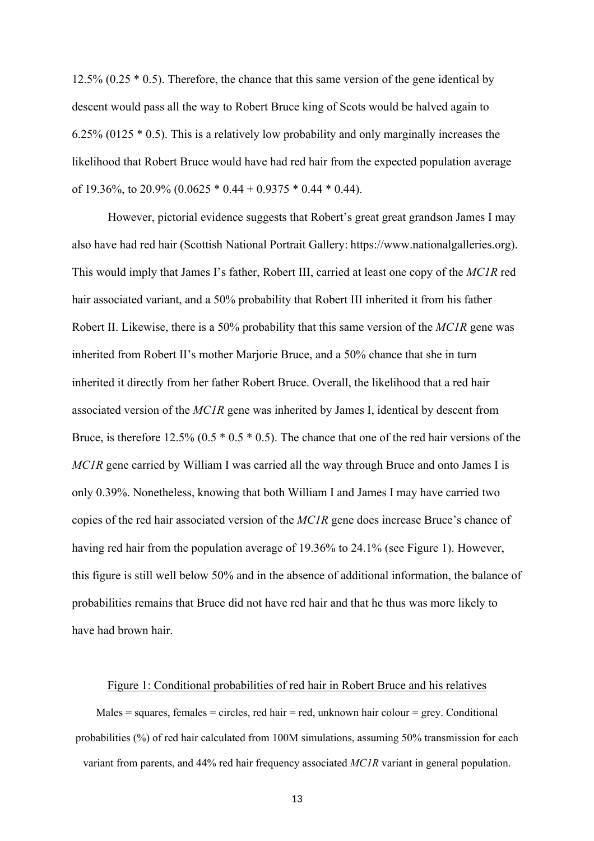12.5% (0.25  $*$  0.5). Therefore, the chance that this same version of the gene identical by descent would pass all the way to Robert Bruce king of Scots would be halved again to 6.25% (0125 \* 0.5). This is a relatively low probability and only marginally increases the likelihood that Robert Bruce would have had red hair from the expected population average of 19.36%, to 20.9% (0.0625  $*$  0.44 + 0.9375  $*$  0.44  $*$  0.44).

However, pictorial evidence suggests that Robert's great great grandson James I may also have had red hair (Scottish National Portrait Gallery: https://www.nationalgalleries.org). This would imply that James I's father, Robert III, carried at least one copy of the *MC1R* red hair associated variant, and a 50% probability that Robert III inherited it from his father Robert II. Likewise, there is a 50% probability that this same version of the *MC1R* gene was inherited from Robert II's mother Marjorie Bruce, and a 50% chance that she in turn inherited it directly from her father Robert Bruce. Overall, the likelihood that a red hair associated version of the *MC1R* gene was inherited by James I, identical by descent from Bruce, is therefore  $12.5\%$  (0.5  $*$  0.5  $*$  0.5). The chance that one of the red hair versions of the *MC1R* gene carried by William I was carried all the way through Bruce and onto James I is only 0.39%. Nonetheless, knowing that both William I and James I may have carried two copies of the red hair associated version of the *MC1R* gene does increase Bruce's chance of having red hair from the population average of 19.36% to 24.1% (see Figure 1). However, this figure is still well below 50% and in the absence of additional information, the balance of probabilities remains that Bruce did not have red hair and that he thus was more likely to have had brown hair.

## Figure 1: Conditional probabilities of red hair in Robert Bruce and his relatives

Males = squares, females = circles, red hair = red, unknown hair colour = grey. Conditional probabilities (%) of red hair calculated from 100M simulations, assuming 50% transmission for each variant from parents, and 44% red hair frequency associated *MC1R* variant in general population.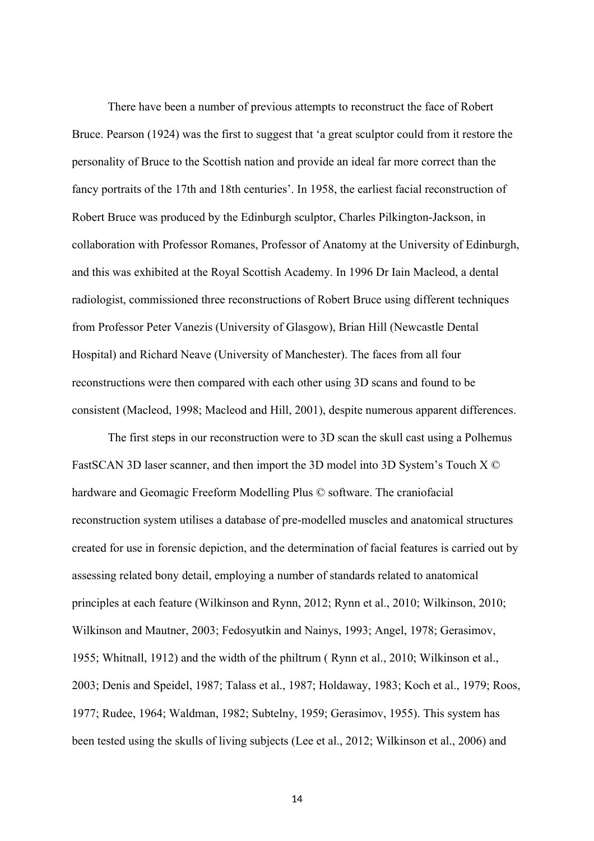There have been a number of previous attempts to reconstruct the face of Robert Bruce. Pearson (1924) was the first to suggest that 'a great sculptor could from it restore the personality of Bruce to the Scottish nation and provide an ideal far more correct than the fancy portraits of the 17th and 18th centuries'. In 1958, the earliest facial reconstruction of Robert Bruce was produced by the Edinburgh sculptor, Charles Pilkington-Jackson, in collaboration with Professor Romanes, Professor of Anatomy at the University of Edinburgh, and this was exhibited at the Royal Scottish Academy. In 1996 Dr Iain Macleod, a dental radiologist, commissioned three reconstructions of Robert Bruce using different techniques from Professor Peter Vanezis (University of Glasgow), Brian Hill (Newcastle Dental Hospital) and Richard Neave (University of Manchester). The faces from all four reconstructions were then compared with each other using 3D scans and found to be consistent (Macleod, 1998; Macleod and Hill, 2001), despite numerous apparent differences.

The first steps in our reconstruction were to 3D scan the skull cast using a Polhemus FastSCAN 3D laser scanner, and then import the 3D model into 3D System's Touch X © hardware and Geomagic Freeform Modelling Plus © software. The craniofacial reconstruction system utilises a database of pre-modelled muscles and anatomical structures created for use in forensic depiction, and the determination of facial features is carried out by assessing related bony detail, employing a number of standards related to anatomical principles at each feature (Wilkinson and Rynn, 2012; Rynn et al., 2010; Wilkinson, 2010; Wilkinson and Mautner, 2003; Fedosyutkin and Nainys, 1993; Angel, 1978; Gerasimov, 1955; Whitnall, 1912) and the width of the philtrum ( Rynn et al., 2010; Wilkinson et al., 2003; Denis and Speidel, 1987; Talass et al., 1987; Holdaway, 1983; Koch et al., 1979; Roos, 1977; Rudee, 1964; Waldman, 1982; Subtelny, 1959; Gerasimov, 1955). This system has been tested using the skulls of living subjects (Lee et al., 2012; Wilkinson et al., 2006) and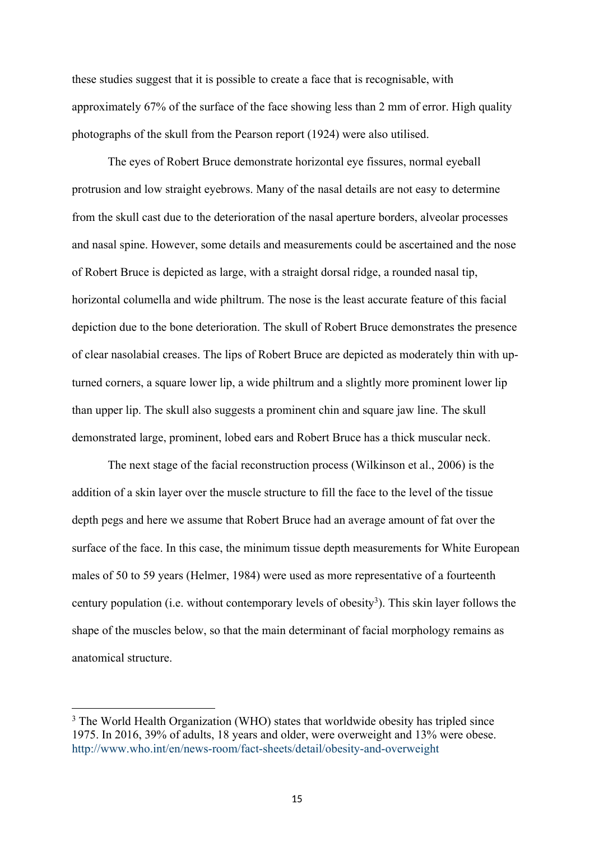these studies suggest that it is possible to create a face that is recognisable, with approximately 67% of the surface of the face showing less than 2 mm of error. High quality photographs of the skull from the Pearson report (1924) were also utilised.

The eyes of Robert Bruce demonstrate horizontal eye fissures, normal eyeball protrusion and low straight eyebrows. Many of the nasal details are not easy to determine from the skull cast due to the deterioration of the nasal aperture borders, alveolar processes and nasal spine. However, some details and measurements could be ascertained and the nose of Robert Bruce is depicted as large, with a straight dorsal ridge, a rounded nasal tip, horizontal columella and wide philtrum. The nose is the least accurate feature of this facial depiction due to the bone deterioration. The skull of Robert Bruce demonstrates the presence of clear nasolabial creases. The lips of Robert Bruce are depicted as moderately thin with upturned corners, a square lower lip, a wide philtrum and a slightly more prominent lower lip than upper lip. The skull also suggests a prominent chin and square jaw line. The skull demonstrated large, prominent, lobed ears and Robert Bruce has a thick muscular neck.

The next stage of the facial reconstruction process (Wilkinson et al., 2006) is the addition of a skin layer over the muscle structure to fill the face to the level of the tissue depth pegs and here we assume that Robert Bruce had an average amount of fat over the surface of the face. In this case, the minimum tissue depth measurements for White European males of 50 to 59 years (Helmer, 1984) were used as more representative of a fourteenth century population (i.e. without contemporary levels of obesity<sup>3</sup>). This skin layer follows the shape of the muscles below, so that the main determinant of facial morphology remains as anatomical structure.

<sup>&</sup>lt;sup>3</sup> The World Health Organization (WHO) states that worldwide obesity has tripled since 1975. In 2016, 39% of adults, 18 years and older, were overweight and 13% were obese. <http://www.who.int/en/news-room/fact-sheets/detail/obesity-and-overweight>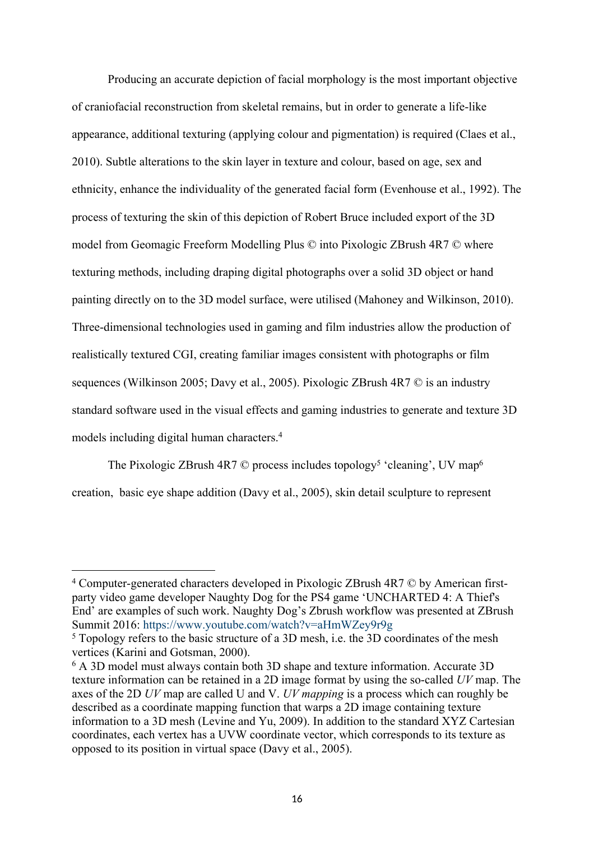Producing an accurate depiction of facial morphology is the most important objective of craniofacial reconstruction from skeletal remains, but in order to generate a life-like appearance, additional texturing (applying colour and pigmentation) is required (Claes et al., 2010). Subtle alterations to the skin layer in texture and colour, based on age, sex and ethnicity, enhance the individuality of the generated facial form (Evenhouse et al., 1992). The process of texturing the skin of this depiction of Robert Bruce included export of the 3D model from Geomagic Freeform Modelling Plus © into Pixologic ZBrush 4R7 © where texturing methods, including draping digital photographs over a solid 3D object or hand painting directly on to the 3D model surface, were utilised (Mahoney and Wilkinson, 2010). Three-dimensional technologies used in gaming and film industries allow the production of realistically textured CGI, creating familiar images consistent with photographs or film sequences (Wilkinson 2005; Davy et al., 2005). Pixologic ZBrush 4R7 © is an industry standard software used in the visual effects and gaming industries to generate and texture 3D models including digital human characters.<sup>4</sup>

The Pixologic ZBrush 4R7  $\heartsuit$  process includes topology<sup>5</sup> 'cleaning', UV map<sup>6</sup> creation, basic eye shape addition (Davy et al., 2005), skin detail sculpture to represent

<sup>&</sup>lt;sup>4</sup> Computer-generated characters developed in Pixologic ZBrush 4R7 © by American firstparty video game developer Naughty Dog for the PS4 game 'UNCHARTED 4: A Thief's End' are examples of such work. Naughty Dog's Zbrush workflow was presented at ZBrush Summit 2016:<https://www.youtube.com/watch?v=aHmWZey9r9g>

<sup>&</sup>lt;sup>5</sup> Topology refers to the basic structure of a 3D mesh, i.e. the 3D coordinates of the mesh vertices (Karini and Gotsman, 2000).

<sup>6</sup> A 3D model must always contain both 3D shape and texture information. Accurate 3D texture information can be retained in a 2D image format by using the so-called *UV* map. The axes of the 2D *UV* map are called U and V. *UV mapping* is a process which can roughly be described as a coordinate mapping function that warps a 2D image containing texture information to a 3D mesh (Levine and Yu, 2009). In addition to the standard XYZ Cartesian coordinates, each vertex has a UVW coordinate vector, which corresponds to its texture as opposed to its position in virtual space (Davy et al., 2005).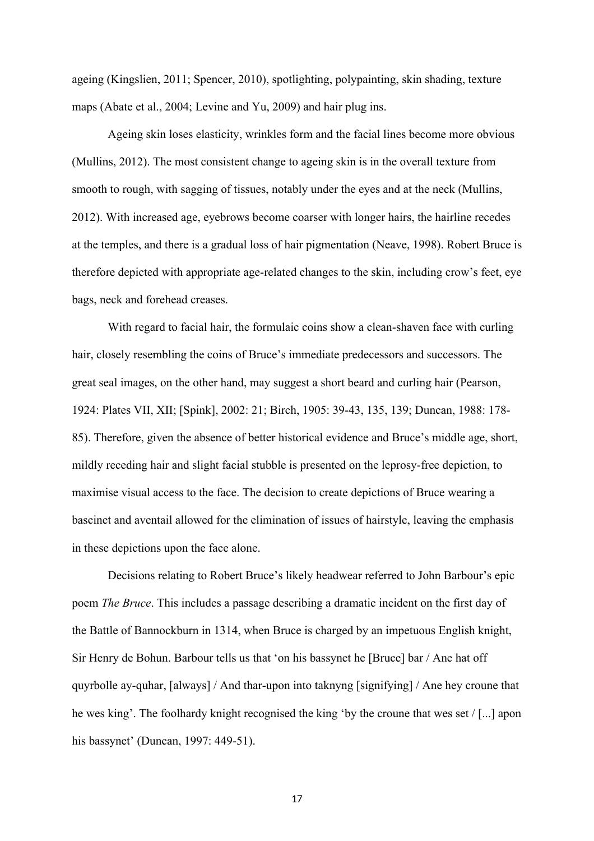ageing (Kingslien, 2011; Spencer, 2010), spotlighting, polypainting, skin shading, texture maps (Abate et al., 2004; Levine and Yu, 2009) and hair plug ins.

Ageing skin loses elasticity, wrinkles form and the facial lines become more obvious (Mullins, 2012). The most consistent change to ageing skin is in the overall texture from smooth to rough, with sagging of tissues, notably under the eyes and at the neck (Mullins, 2012). With increased age, eyebrows become coarser with longer hairs, the hairline recedes at the temples, and there is a gradual loss of hair pigmentation (Neave, 1998). Robert Bruce is therefore depicted with appropriate age-related changes to the skin, including crow's feet, eye bags, neck and forehead creases.

With regard to facial hair, the formulaic coins show a clean-shaven face with curling hair, closely resembling the coins of Bruce's immediate predecessors and successors. The great seal images, on the other hand, may suggest a short beard and curling hair (Pearson, 1924: Plates VII, XII; [Spink], 2002: 21; Birch, 1905: 39-43, 135, 139; Duncan, 1988: 178- 85). Therefore, given the absence of better historical evidence and Bruce's middle age, short, mildly receding hair and slight facial stubble is presented on the leprosy-free depiction, to maximise visual access to the face. The decision to create depictions of Bruce wearing a bascinet and aventail allowed for the elimination of issues of hairstyle, leaving the emphasis in these depictions upon the face alone.

Decisions relating to Robert Bruce's likely headwear referred to John Barbour's epic poem *The Bruce*. This includes a passage describing a dramatic incident on the first day of the Battle of Bannockburn in 1314, when Bruce is charged by an impetuous English knight, Sir Henry de Bohun. Barbour tells us that 'on his bassynet he [Bruce] bar / Ane hat off quyrbolle ay-quhar, [always] / And thar-upon into taknyng [signifying] / Ane hey croune that he wes king'. The foolhardy knight recognised the king 'by the croune that wes set / [...] apon his bassynet' (Duncan, 1997: 449-51).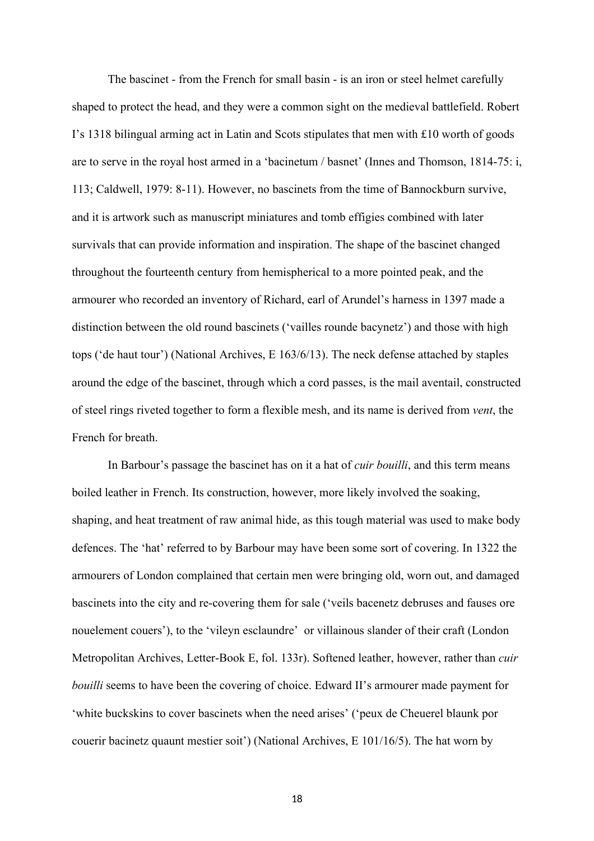The bascinet - from the French for small basin - is an iron or steel helmet carefully shaped to protect the head, and they were a common sight on the medieval battlefield. Robert I's 1318 bilingual arming act in Latin and Scots stipulates that men with £10 worth of goods are to serve in the royal host armed in a 'bacinetum / basnet' (Innes and Thomson, 1814-75: i, 113; Caldwell, 1979: 8-11). However, no bascinets from the time of Bannockburn survive, and it is artwork such as manuscript miniatures and tomb effigies combined with later survivals that can provide information and inspiration. The shape of the bascinet changed throughout the fourteenth century from hemispherical to a more pointed peak, and the armourer who recorded an inventory of Richard, earl of Arundel's harness in 1397 made a distinction between the old round bascinets ('vailles rounde bacynetz') and those with high tops ('de haut tour') (National Archives, E 163/6/13). The neck defense attached by staples around the edge of the bascinet, through which a cord passes, is the mail aventail, constructed of steel rings riveted together to form a flexible mesh, and its name is derived from *vent*, the French for breath.

In Barbour's passage the bascinet has on it a hat of *cuir bouilli*, and this term means boiled leather in French. Its construction, however, more likely involved the soaking, shaping, and heat treatment of raw animal hide, as this tough material was used to make body defences. The 'hat' referred to by Barbour may have been some sort of covering. In 1322 the armourers of London complained that certain men were bringing old, worn out, and damaged bascinets into the city and re-covering them for sale ('veils bacenetz debruses and fauses ore nouelement couers'), to the 'vileyn esclaundre' or villainous slander of their craft (London Metropolitan Archives, Letter-Book E, fol. 133r). Softened leather, however, rather than *cuir bouilli* seems to have been the covering of choice. Edward II's armourer made payment for 'white buckskins to cover bascinets when the need arises' ('peux de Cheuerel blaunk por couerir bacinetz quaunt mestier soit') (National Archives, E 101/16/5). The hat worn by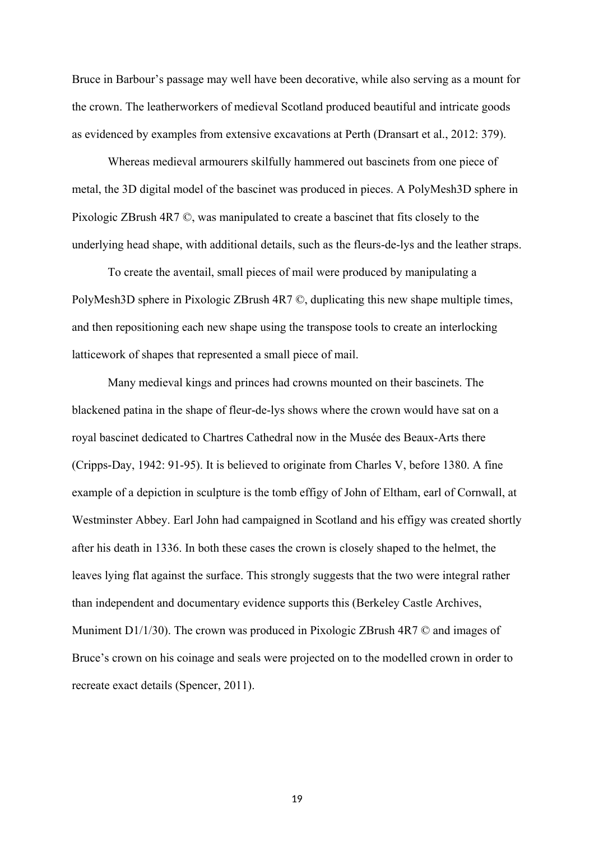Bruce in Barbour's passage may well have been decorative, while also serving as a mount for the crown. The leatherworkers of medieval Scotland produced beautiful and intricate goods as evidenced by examples from extensive excavations at Perth (Dransart et al., 2012: 379).

Whereas medieval armourers skilfully hammered out bascinets from one piece of metal, the 3D digital model of the bascinet was produced in pieces. A PolyMesh3D sphere in Pixologic ZBrush 4R7 ©, was manipulated to create a bascinet that fits closely to the underlying head shape, with additional details, such as the fleurs-de-lys and the leather straps.

To create the aventail, small pieces of mail were produced by manipulating a PolyMesh3D sphere in Pixologic ZBrush 4R7 ©, duplicating this new shape multiple times, and then repositioning each new shape using the transpose tools to create an interlocking latticework of shapes that represented a small piece of mail.

Many medieval kings and princes had crowns mounted on their bascinets. The blackened patina in the shape of fleur-de-lys shows where the crown would have sat on a royal bascinet dedicated to Chartres Cathedral now in the Musée des Beaux-Arts there (Cripps-Day, 1942: 91-95). It is believed to originate from Charles V, before 1380. A fine example of a depiction in sculpture is the tomb effigy of John of Eltham, earl of Cornwall, at Westminster Abbey. Earl John had campaigned in Scotland and his effigy was created shortly after his death in 1336. In both these cases the crown is closely shaped to the helmet, the leaves lying flat against the surface. This strongly suggests that the two were integral rather than independent and documentary evidence supports this (Berkeley Castle Archives, Muniment D1/1/30). The crown was produced in Pixologic ZBrush 4R7  $\odot$  and images of Bruce's crown on his coinage and seals were projected on to the modelled crown in order to recreate exact details (Spencer, 2011).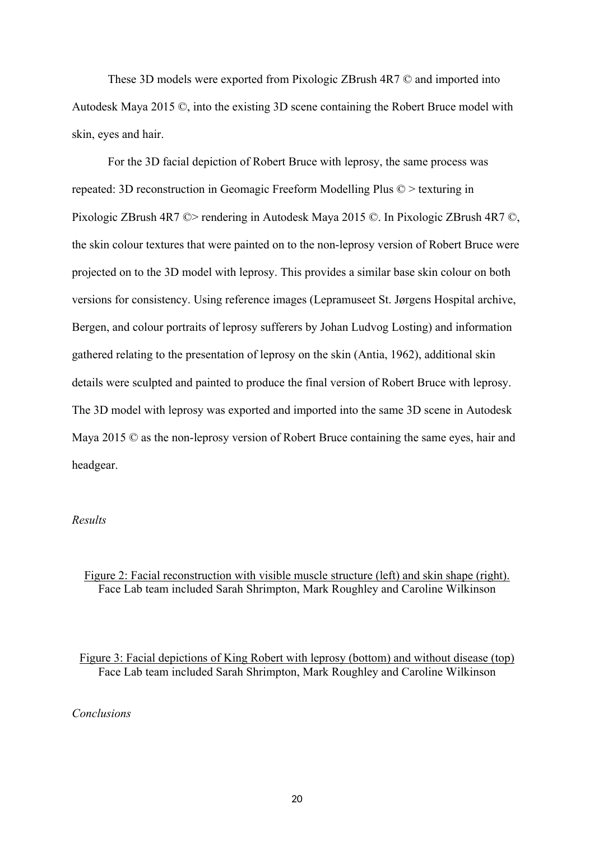These 3D models were exported from Pixologic ZBrush 4R7 © and imported into Autodesk Maya 2015 ©, into the existing 3D scene containing the Robert Bruce model with skin, eyes and hair.

For the 3D facial depiction of Robert Bruce with leprosy, the same process was repeated: 3D reconstruction in Geomagic Freeform Modelling Plus © > texturing in Pixologic ZBrush 4R7 ©> rendering in Autodesk Maya 2015 ©. In Pixologic ZBrush 4R7 ©, the skin colour textures that were painted on to the non-leprosy version of Robert Bruce were projected on to the 3D model with leprosy. This provides a similar base skin colour on both versions for consistency. Using reference images (Lepramuseet St. Jørgens Hospital archive, Bergen, and colour portraits of leprosy sufferers by Johan Ludvog Losting) and information gathered relating to the presentation of leprosy on the skin (Antia, 1962), additional skin details were sculpted and painted to produce the final version of Robert Bruce with leprosy. The 3D model with leprosy was exported and imported into the same 3D scene in Autodesk Maya 2015 © as the non-leprosy version of Robert Bruce containing the same eyes, hair and headgear.

## *Results*

Figure 2: Facial reconstruction with visible muscle structure (left) and skin shape (right). Face Lab team included Sarah Shrimpton, Mark Roughley and Caroline Wilkinson

Figure 3: Facial depictions of King Robert with leprosy (bottom) and without disease (top) Face Lab team included Sarah Shrimpton, Mark Roughley and Caroline Wilkinson

### *Conclusions*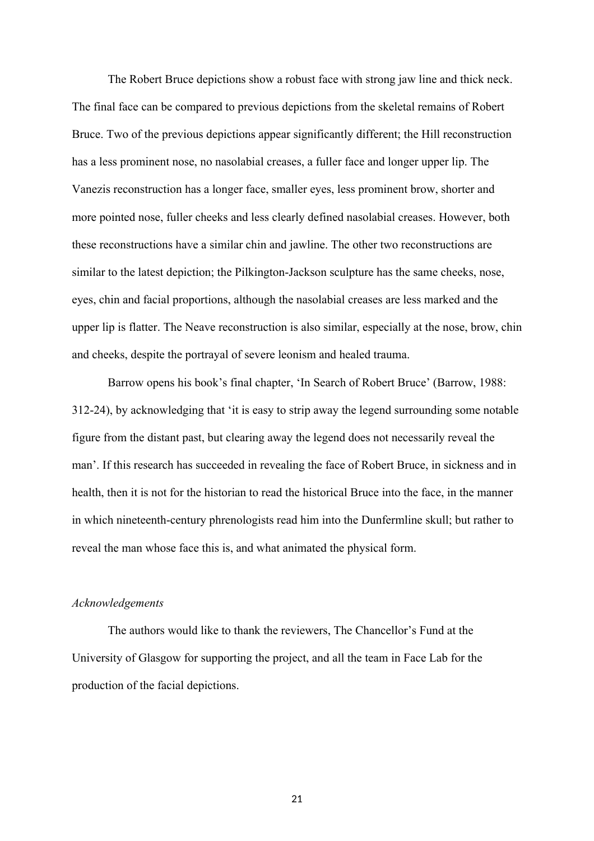The Robert Bruce depictions show a robust face with strong jaw line and thick neck. The final face can be compared to previous depictions from the skeletal remains of Robert Bruce. Two of the previous depictions appear significantly different; the Hill reconstruction has a less prominent nose, no nasolabial creases, a fuller face and longer upper lip. The Vanezis reconstruction has a longer face, smaller eyes, less prominent brow, shorter and more pointed nose, fuller cheeks and less clearly defined nasolabial creases. However, both these reconstructions have a similar chin and jawline. The other two reconstructions are similar to the latest depiction; the Pilkington-Jackson sculpture has the same cheeks, nose, eyes, chin and facial proportions, although the nasolabial creases are less marked and the upper lip is flatter. The Neave reconstruction is also similar, especially at the nose, brow, chin and cheeks, despite the portrayal of severe leonism and healed trauma.

Barrow opens his book's final chapter, 'In Search of Robert Bruce' (Barrow, 1988: 312-24), by acknowledging that 'it is easy to strip away the legend surrounding some notable figure from the distant past, but clearing away the legend does not necessarily reveal the man'. If this research has succeeded in revealing the face of Robert Bruce, in sickness and in health, then it is not for the historian to read the historical Bruce into the face, in the manner in which nineteenth-century phrenologists read him into the Dunfermline skull; but rather to reveal the man whose face this is, and what animated the physical form.

#### *Acknowledgements*

The authors would like to thank the reviewers, The Chancellor's Fund at the University of Glasgow for supporting the project, and all the team in Face Lab for the production of the facial depictions.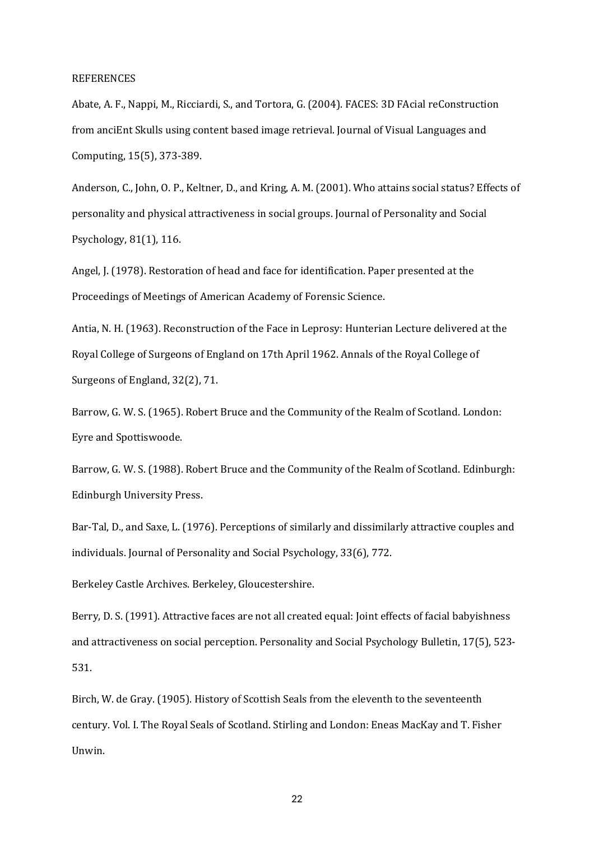#### REFERENCES

Abate, A. F., Nappi, M., Ricciardi, S., and Tortora, G. (2004). FACES: 3D FAcial reConstruction from anciEnt Skulls using content based image retrieval. Journal of Visual Languages and Computing, 15(5), 373-389.

Anderson, C., John, O. P., Keltner, D., and Kring, A. M. (2001). Who attains social status? Effects of personality and physical attractiveness in social groups. Journal of Personality and Social Psychology, 81(1), 116.

Angel, J. (1978). Restoration of head and face for identification. Paper presented at the Proceedings of Meetings of American Academy of Forensic Science.

Antia, N. H. (1963). Reconstruction of the Face in Leprosy: Hunterian Lecture delivered at the Royal College of Surgeons of England on 17th April 1962. Annals of the Royal College of Surgeons of England, 32(2), 71.

Barrow, G. W. S. (1965). Robert Bruce and the Community of the Realm of Scotland. London: Eyre and Spottiswoode.

Barrow, G. W. S. (1988). Robert Bruce and the Community of the Realm of Scotland. Edinburgh: Edinburgh University Press.

Bar-Tal, D., and Saxe, L. (1976). Perceptions of similarly and dissimilarly attractive couples and individuals. Journal of Personality and Social Psychology, 33(6), 772.

Berkeley Castle Archives. Berkeley, Gloucestershire.

Berry, D. S. (1991). Attractive faces are not all created equal: Joint effects of facial babyishness and attractiveness on social perception. Personality and Social Psychology Bulletin, 17(5), 523- 531.

Birch, W. de Gray. (1905). History of Scottish Seals from the eleventh to the seventeenth century. Vol. I. The Royal Seals of Scotland. Stirling and London: Eneas MacKay and T. Fisher Unwin.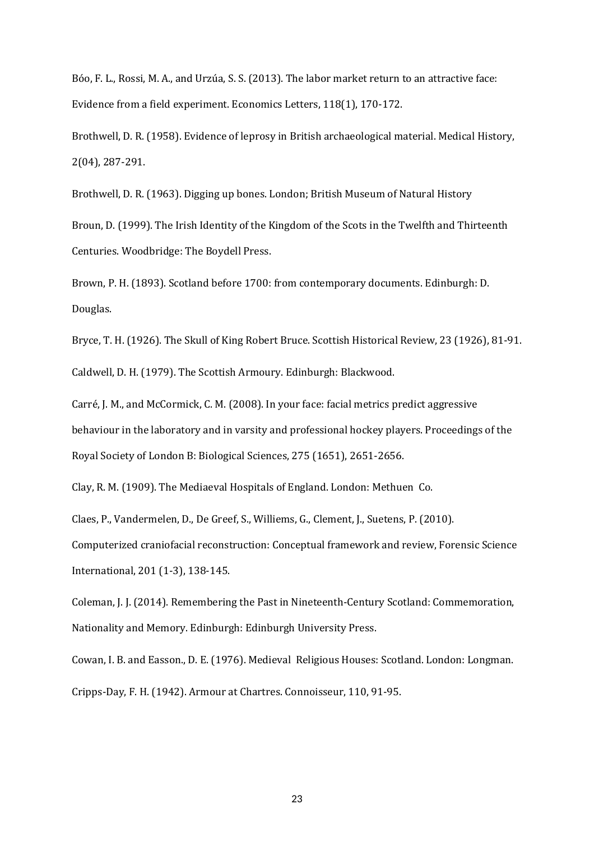Bóo, F. L., Rossi, M. A., and Urzúa, S. S. (2013). The labor market return to an attractive face: Evidence from a field experiment. Economics Letters, 118(1), 170-172.

Brothwell, D. R. (1958). Evidence of leprosy in British archaeological material. Medical History, 2(04), 287-291.

Brothwell, D. R. (1963). Digging up bones. London; British Museum of Natural History Broun, D. (1999). The Irish Identity of the Kingdom of the Scots in the Twelfth and Thirteenth Centuries. Woodbridge: The Boydell Press.

Brown, P. H. (1893). Scotland before 1700: from contemporary documents. Edinburgh: D. Douglas.

Bryce, T. H. (1926). The Skull of King Robert Bruce. Scottish Historical Review, 23 (1926), 81-91. Caldwell, D. H. (1979). The Scottish Armoury. Edinburgh: Blackwood.

Carré, J. M., and McCormick, C. M. (2008). In your face: facial metrics predict aggressive behaviour in the laboratory and in varsity and professional hockey players. Proceedings of the Royal Society of London B: Biological Sciences, 275 (1651), 2651-2656.

Clay, R. M. (1909). The Mediaeval Hospitals of England. London: Methuen Co.

Claes, P., Vandermelen, D., De Greef, S., Williems, G., Clement, J., Suetens, P. (2010).

Computerized craniofacial reconstruction: Conceptual framework and review, Forensic Science International, 201 (1-3), 138-145.

Coleman, J. J. (2014). Remembering the Past in Nineteenth-Century Scotland: Commemoration, Nationality and Memory. Edinburgh: Edinburgh University Press.

Cowan, I. B. and Easson., D. E. (1976). Medieval Religious Houses: Scotland. London: Longman. Cripps-Day, F. H. (1942). Armour at Chartres. Connoisseur, 110, 91-95.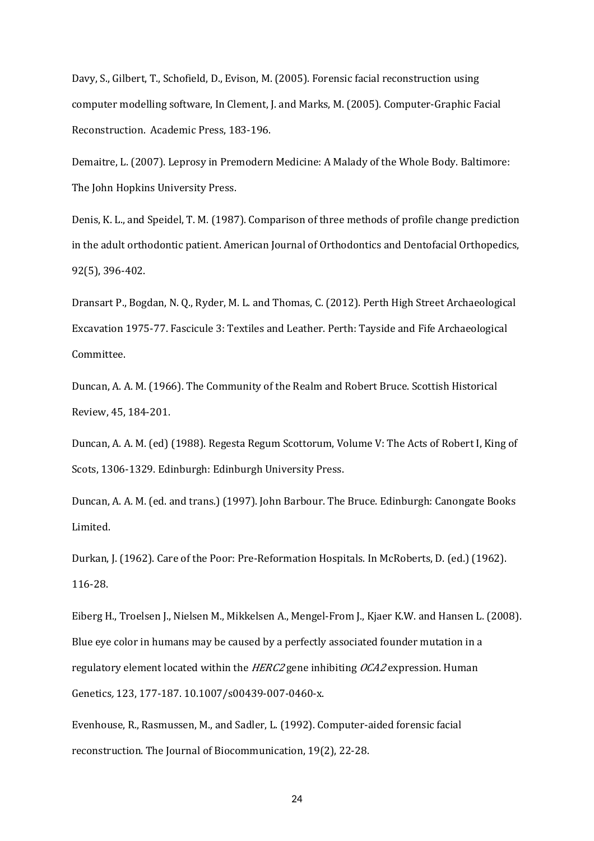Davy, S., Gilbert, T., Schofield, D., Evison, M. (2005). Forensic facial reconstruction using computer modelling software, In Clement, J. and Marks, M. (2005). Computer-Graphic Facial Reconstruction. Academic Press, 183-196.

Demaitre, L. (2007). Leprosy in Premodern Medicine: A Malady of the Whole Body. Baltimore: The John Hopkins University Press.

Denis, K. L., and Speidel, T. M. (1987). Comparison of three methods of profile change prediction in the adult orthodontic patient. American Journal of Orthodontics and Dentofacial Orthopedics, 92(5), 396-402.

Dransart P., Bogdan, N. Q., Ryder, M. L. and Thomas, C. (2012). Perth High Street Archaeological Excavation 1975-77. Fascicule 3: Textiles and Leather. Perth: Tayside and Fife Archaeological Committee.

Duncan, A. A. M. (1966). The Community of the Realm and Robert Bruce. Scottish Historical Review, 45, 184-201.

Duncan, A. A. M. (ed) (1988). Regesta Regum Scottorum, Volume V: The Acts of Robert I, King of Scots, 1306-1329. Edinburgh: Edinburgh University Press.

Duncan, A. A. M. (ed. and trans.) (1997). John Barbour. The Bruce. Edinburgh: Canongate Books Limited.

Durkan, J. (1962). Care of the Poor: Pre-Reformation Hospitals. In McRoberts, D. (ed.) (1962). 116-28.

Eiberg H., Troelsen J., Nielsen M., Mikkelsen A., Mengel-From J., Kjaer K.W. and Hansen L. (2008). Blue eye color in humans may be caused by a perfectly associated founder mutation in a regulatory element located within the *HERC2* gene inhibiting *OCA2* expression. Human Genetics*,* 123, 177-187. 10.1007/s00439-007-0460-x.

Evenhouse, R., Rasmussen, M., and Sadler, L. (1992). Computer-aided forensic facial reconstruction. The Journal of Biocommunication, 19(2), 22-28.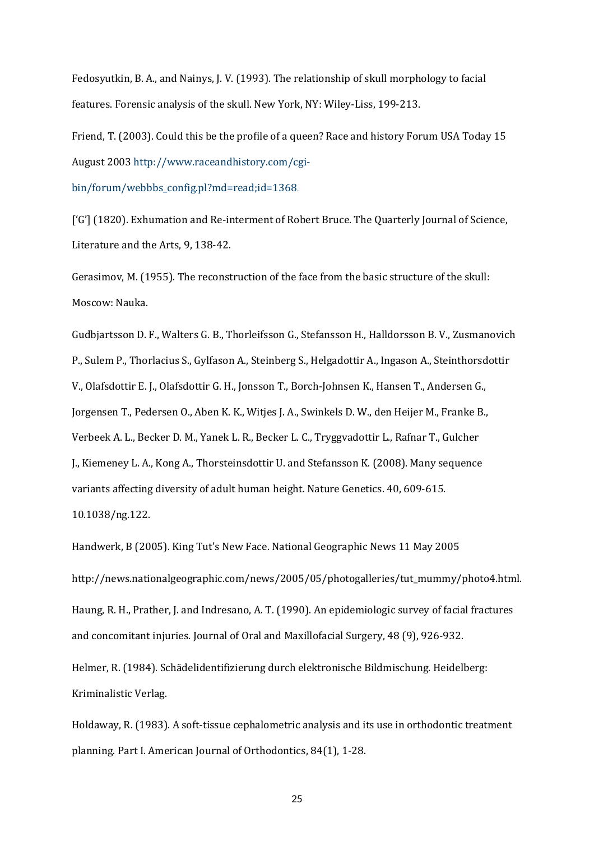Fedosyutkin, B. A., and Nainys, J. V. (1993). The relationship of skull morphology to facial features. Forensic analysis of the skull. New York, NY: Wiley-Liss, 199-213.

Friend, T. (2003). Could this be the profile of a queen? Race and history Forum USA Today 15 August 2003 [http://www.raceandhistory.com/cgi-](http://www.raceandhistory.com/cgi-bin/forum/webbbs_config.pl?md=read;id=1368)

[bin/forum/webbbs\\_config.pl?md=read;id=1368](http://www.raceandhistory.com/cgi-bin/forum/webbbs_config.pl?md=read;id=1368).

['G'] (1820). Exhumation and Re-interment of Robert Bruce. The Quarterly Journal of Science, Literature and the Arts, 9, 138-42.

Gerasimov, M. (1955). The reconstruction of the face from the basic structure of the skull: Moscow: Nauka.

Gudbjartsson D. F., Walters G. B., Thorleifsson G., Stefansson H., Halldorsson B. V., Zusmanovich P., Sulem P., Thorlacius S., Gylfason A., Steinberg S., Helgadottir A., Ingason A., Steinthorsdottir V., Olafsdottir E. J., Olafsdottir G. H., Jonsson T., Borch-Johnsen K., Hansen T., Andersen G., Jorgensen T., Pedersen O., Aben K. K., Witjes J. A., Swinkels D. W., den Heijer M., Franke B., Verbeek A. L., Becker D. M., Yanek L. R., Becker L. C., Tryggvadottir L., Rafnar T., Gulcher J., Kiemeney L. A., Kong A., Thorsteinsdottir U. and Stefansson K. (2008). Many sequence variants affecting diversity of adult human height. Nature Genetics. 40, 609-615. 10.1038/ng.122.

Handwerk, B (2005). King Tut's New Face. National Geographic News 11 May 2005 http://news.nationalgeographic.com/news/2005/05/photogalleries/tut\_mummy/photo4.html. Haung, R. H., Prather, J. and Indresano, A. T. (1990). An epidemiologic survey of facial fractures and concomitant injuries. Journal of Oral and Maxillofacial Surgery, 48 (9), 926-932.

Helmer, R. (1984). Schädelidentifizierung durch elektronische Bildmischung. Heidelberg: Kriminalistic Verlag.

Holdaway, R. (1983). A soft-tissue cephalometric analysis and its use in orthodontic treatment planning. Part I. American Journal of Orthodontics, 84(1), 1-28.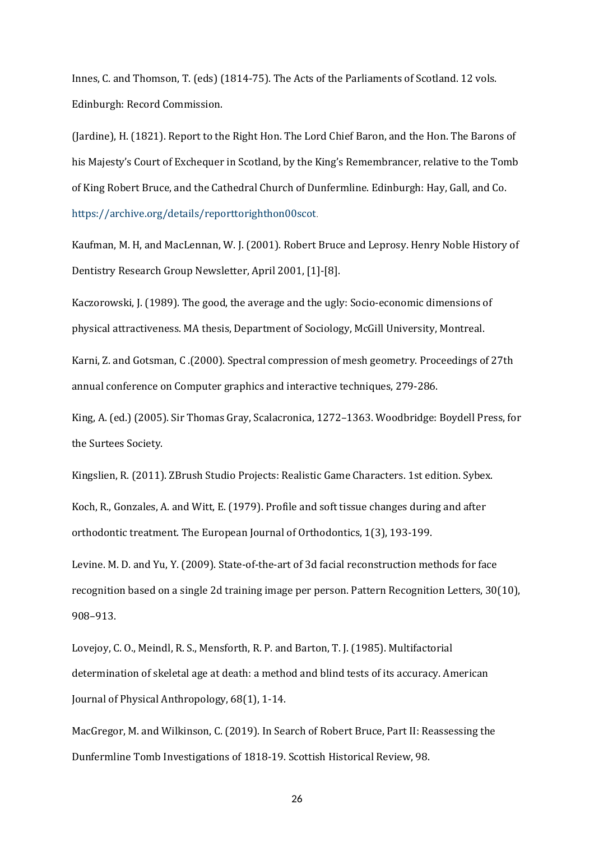Innes, C. and Thomson, T. (eds) (1814-75). The Acts of the Parliaments of Scotland. 12 vols. Edinburgh: Record Commission.

(Jardine), H. (1821). Report to the Right Hon. The Lord Chief Baron, and the Hon. The Barons of his Majesty's Court of Exchequer in Scotland, by the King's Remembrancer, relative to the Tomb of King Robert Bruce, and the Cathedral Church of Dunfermline. Edinburgh: Hay, Gall, and Co. <https://archive.org/details/reporttorighthon00scot>.

Kaufman, M. H, and MacLennan, W. J. (2001). Robert Bruce and Leprosy. Henry Noble History of Dentistry Research Group Newsletter, April 2001, [1]-[8].

Kaczorowski, J. (1989). The good, the average and the ugly: Socio-economic dimensions of physical attractiveness. MA thesis, Department of Sociology, McGill University, Montreal.

Karni, Z. and Gotsman, C .(2000). Spectral compression of mesh geometry. Proceedings of 27th annual conference on Computer graphics and interactive techniques, 279-286.

King, A. (ed.) (2005). Sir Thomas Gray, Scalacronica, 1272–1363. Woodbridge: Boydell Press, for the Surtees Society.

Kingslien, R. (2011). ZBrush Studio Projects: Realistic Game Characters. 1st edition. Sybex.

Koch, R., Gonzales, A. and Witt, E. (1979). Profile and soft tissue changes during and after orthodontic treatment. The European Journal of Orthodontics, 1(3), 193-199.

Levine. M. D. and Yu, Y. (2009). State-of-the-art of 3d facial reconstruction methods for face recognition based on a single 2d training image per person. Pattern Recognition Letters, 30(10), 908–913.

Lovejoy, C. O., Meindl, R. S., Mensforth, R. P. and Barton, T. J. (1985). Multifactorial determination of skeletal age at death: a method and blind tests of its accuracy. American Journal of Physical Anthropology, 68(1), 1-14.

MacGregor, M. and Wilkinson, C. (2019). In Search of Robert Bruce, Part II: Reassessing the Dunfermline Tomb Investigations of 1818-19. Scottish Historical Review, 98.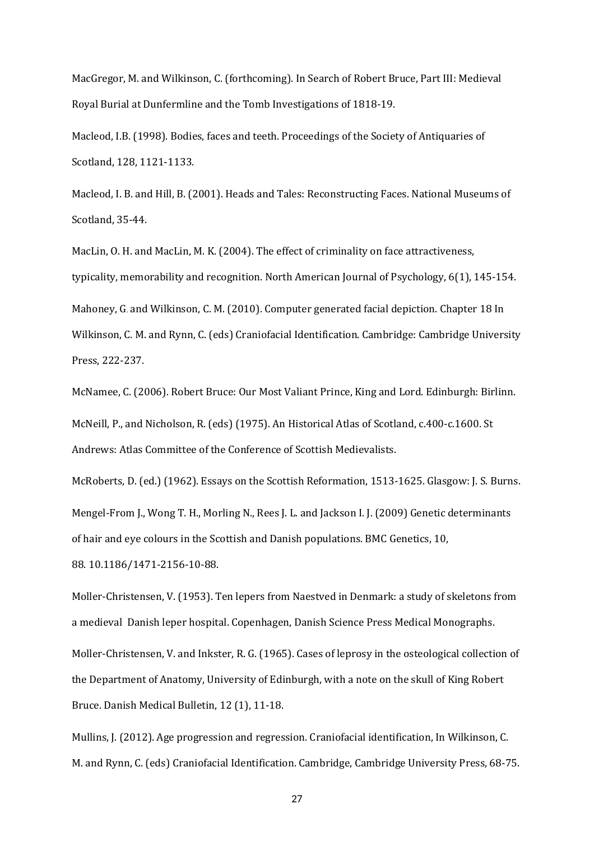MacGregor, M. and Wilkinson, C. (forthcoming). In Search of Robert Bruce, Part III: Medieval Royal Burial at Dunfermline and the Tomb Investigations of 1818-19.

Macleod, I.B. (1998). Bodies, faces and teeth. Proceedings of the Society of Antiquaries of Scotland, 128, 1121-1133.

Macleod, I. B. and Hill, B. (2001). Heads and Tales: Reconstructing Faces. National Museums of Scotland, 35-44.

MacLin, O. H. and MacLin, M. K. (2004). The effect of criminality on face attractiveness, typicality, memorability and recognition. North American Journal of Psychology, 6(1), 145-154. Mahoney, G. and Wilkinson, C. M. (2010). Computer generated facial depiction. Chapter 18 In Wilkinson, C. M. and Rynn, C. (eds) Craniofacial Identification. Cambridge: Cambridge University Press, 222-237.

McNamee, C. (2006). Robert Bruce: Our Most Valiant Prince, King and Lord. Edinburgh: Birlinn. McNeill, P., and Nicholson, R. (eds) (1975). An Historical Atlas of Scotland, c.400-c.1600. St Andrews: Atlas Committee of the Conference of Scottish Medievalists.

McRoberts, D. (ed.) (1962). Essays on the Scottish Reformation, 1513-1625. Glasgow: J. S. Burns. Mengel-From J., Wong T. H., Morling N., Rees J. L. and Jackson I. J. (2009) Genetic determinants of hair and eye colours in the Scottish and Danish populations. BMC Genetics, 10, 88. 10.1186/1471-2156-10-88.

Moller-Christensen, V. (1953). Ten lepers from Naestved in Denmark: a study of skeletons from a medieval Danish leper hospital. Copenhagen, Danish Science Press Medical Monographs. Moller-Christensen, V. and Inkster, R. G. (1965). Cases of leprosy in the osteological collection of the Department of Anatomy, University of Edinburgh, with a note on the skull of King Robert Bruce. Danish Medical Bulletin, 12 (1), 11-18.

Mullins, J. (2012). Age progression and regression. Craniofacial identification, In Wilkinson, C. M. and Rynn, C. (eds) Craniofacial Identification. Cambridge, Cambridge University Press, 68-75.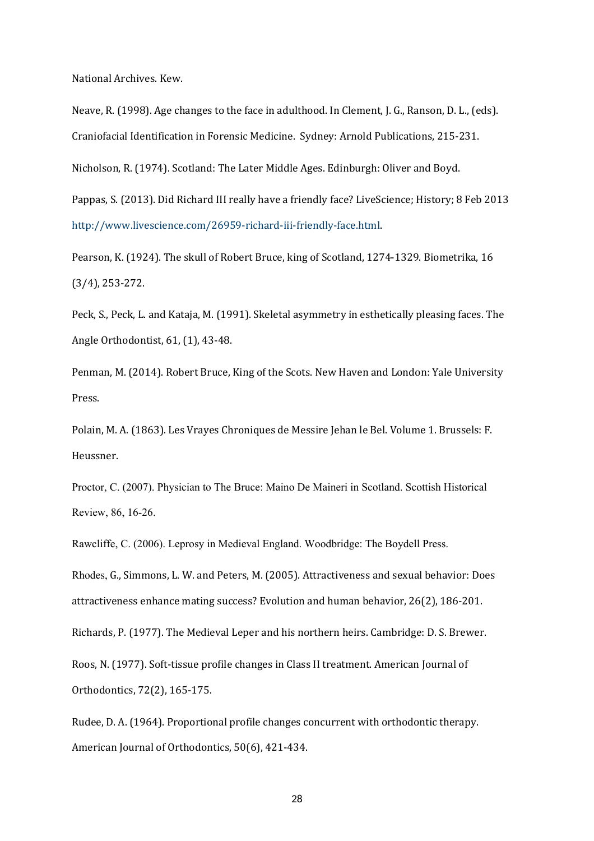National Archives. Kew.

Neave, R. (1998). Age changes to the face in adulthood. In Clement, J. G., Ranson, D. L., (eds). Craniofacial Identification in Forensic Medicine. Sydney: Arnold Publications, 215-231.

Nicholson, R. (1974). Scotland: The Later Middle Ages. Edinburgh: Oliver and Boyd.

Pappas, S. (2013). Did Richard III really have a friendly face? LiveScience; History; 8 Feb 2013 [http://www.livescience.com/26959-richard-iii-friendly-face.html.](http://www.livescience.com/26959-richard-iii-friendly-face.html)

Pearson, K. (1924). The skull of Robert Bruce, king of Scotland, 1274-1329. Biometrika, 16 (3/4), 253-272.

Peck, S., Peck, L. and Kataja, M. (1991). Skeletal asymmetry in esthetically pleasing faces. The Angle Orthodontist, 61, (1), 43-48.

Penman, M. (2014). Robert Bruce, King of the Scots. New Haven and London: Yale University Press.

Polain, M. A. (1863). Les Vrayes Chroniques de Messire Jehan le Bel. Volume 1. Brussels: F. Heussner.

Proctor, C. (2007). Physician to The Bruce: Maino De Maineri in Scotland. Scottish Historical Review, 86, 16-26.

Rawcliffe, C. (2006). Leprosy in Medieval England. Woodbridge: The Boydell Press.

Rhodes, G., Simmons, L. W. and Peters, M. (2005). Attractiveness and sexual behavior: Does attractiveness enhance mating success? Evolution and human behavior, 26(2), 186-201.

Richards, P. (1977). The Medieval Leper and his northern heirs. Cambridge: D. S. Brewer.

Roos, N. (1977). Soft-tissue profile changes in Class II treatment. American Journal of Orthodontics, 72(2), 165-175.

Rudee, D. A. (1964). Proportional profile changes concurrent with orthodontic therapy. American Journal of Orthodontics, 50(6), 421-434.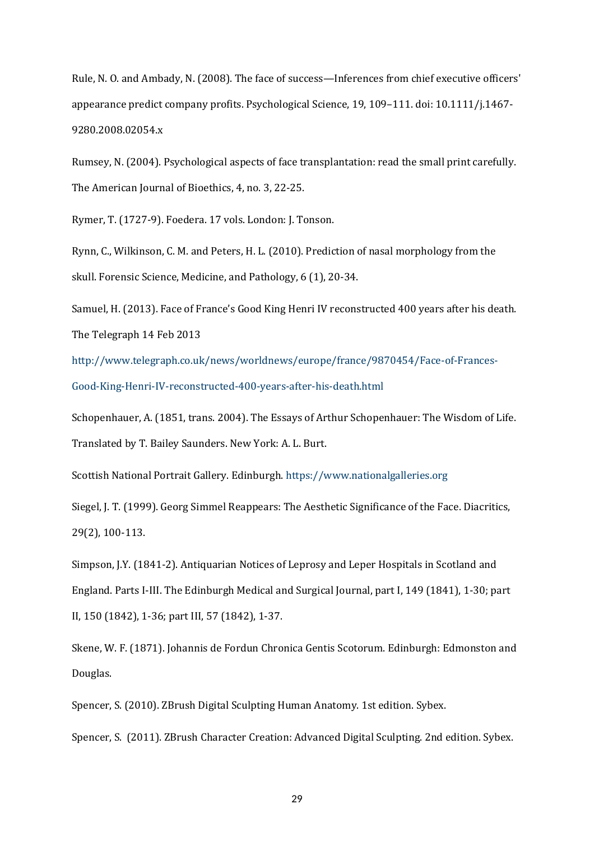Rule, N. O. and Ambady, N. (2008). The face of success—Inferences from chief executive officers' appearance predict company profits. Psychological Science, 19, 109–111. doi: 10.1111/j.1467- 9280.2008.02054.x

Rumsey, N. (2004). Psychological aspects of face transplantation: read the small print carefully. The American Journal of Bioethics, 4, no. 3, 22-25.

Rymer, T. (1727-9). Foedera. 17 vols. London: J. Tonson.

Rynn, C., Wilkinson, C. M. and Peters, H. L. (2010). Prediction of nasal morphology from the skull. Forensic Science, Medicine, and Pathology, 6 (1), 20-34.

Samuel, H. (2013). Face of France's Good King Henri IV reconstructed 400 years after his death. The Telegraph 14 Feb 2013

[http://www.telegraph.co.uk/news/worldnews/europe/france/9870454/Face-of-Frances-](http://www.telegraph.co.uk/news/worldnews/europe/france/9870454/Face-of-Frances-Good-King-Henri-IV-reconstructed-400-years-after-his-death.html)[Good-King-Henri-IV-reconstructed-400-years-after-his-death.html](http://www.telegraph.co.uk/news/worldnews/europe/france/9870454/Face-of-Frances-Good-King-Henri-IV-reconstructed-400-years-after-his-death.html)

Schopenhauer, A. (1851, trans. 2004). The Essays of Arthur Schopenhauer: The Wisdom of Life. Translated by T. Bailey Saunders. New York: A. L. Burt.

Scottish National Portrait Gallery. Edinburgh.<https://www.nationalgalleries.org>

Siegel, J. T. (1999). Georg Simmel Reappears: The Aesthetic Significance of the Face. Diacritics, 29(2), 100-113.

Simpson, J.Y. (1841-2). Antiquarian Notices of Leprosy and Leper Hospitals in Scotland and England. Parts I-III. The Edinburgh Medical and Surgical Journal, part I, 149 (1841), 1-30; part II, 150 (1842), 1-36; part III, 57 (1842), 1-37.

Skene, W. F. (1871). Johannis de Fordun Chronica Gentis Scotorum. Edinburgh: Edmonston and Douglas.

Spencer, S. (2010). ZBrush Digital Sculpting Human Anatomy. 1st edition. Sybex.

Spencer, S. (2011). ZBrush Character Creation: Advanced Digital Sculpting. 2nd edition. Sybex.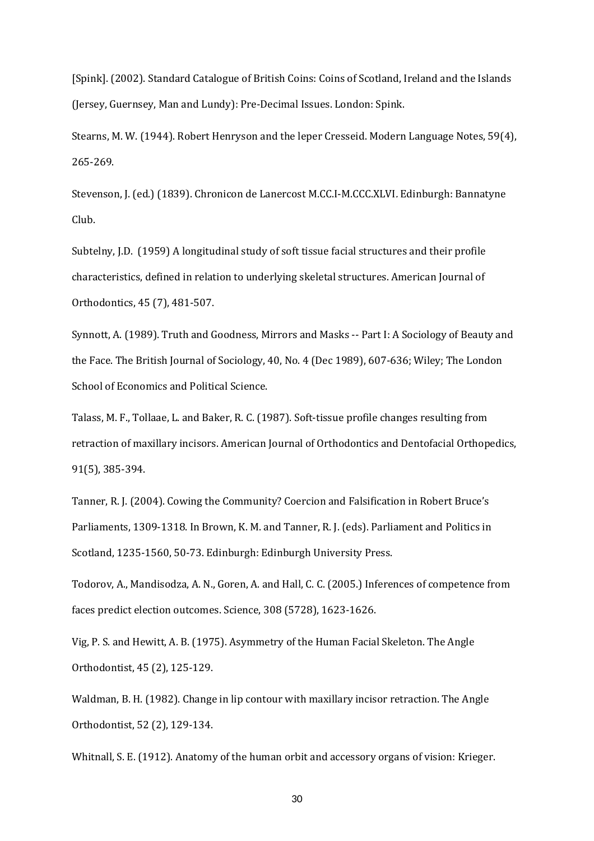[Spink]. (2002). Standard Catalogue of British Coins: Coins of Scotland, Ireland and the Islands (Jersey, Guernsey, Man and Lundy): Pre-Decimal Issues. London: Spink.

Stearns, M. W. (1944). Robert Henryson and the leper Cresseid. Modern Language Notes, 59(4), 265-269.

Stevenson, J. (ed.) (1839). Chronicon de Lanercost M.CC.I-M.CCC.XLVI*.* Edinburgh: Bannatyne Club.

Subtelny, J.D. (1959) A longitudinal study of soft tissue facial structures and their profile characteristics, defined in relation to underlying skeletal structures. American Journal of Orthodontics, 45 (7), 481-507.

Synnott, A. (1989). Truth and Goodness, Mirrors and Masks -- Part I: A Sociology of Beauty and the Face. The British Journal of Sociology, 40, No. 4 (Dec 1989), 607-636; Wiley; The London School of Economics and Political Science.

Talass, M. F., Tollaae, L. and Baker, R. C. (1987). Soft-tissue profile changes resulting from retraction of maxillary incisors. American Journal of Orthodontics and Dentofacial Orthopedics, 91(5), 385-394.

Tanner, R. J. (2004). Cowing the Community? Coercion and Falsification in Robert Bruce's Parliaments, 1309-1318. In Brown, K. M. and Tanner, R. J. (eds). Parliament and Politics in Scotland, 1235-1560, 50-73. Edinburgh: Edinburgh University Press.

Todorov, A., Mandisodza, A. N., Goren, A. and Hall, C. C. (2005.) Inferences of competence from faces predict election outcomes. Science, 308 (5728), 1623-1626.

Vig, P. S. and Hewitt, A. B. (1975). Asymmetry of the Human Facial Skeleton. The Angle Orthodontist, 45 (2), 125-129.

Waldman, B. H. (1982). Change in lip contour with maxillary incisor retraction. The Angle Orthodontist, 52 (2), 129-134.

Whitnall, S. E. (1912). Anatomy of the human orbit and accessory organs of vision: Krieger.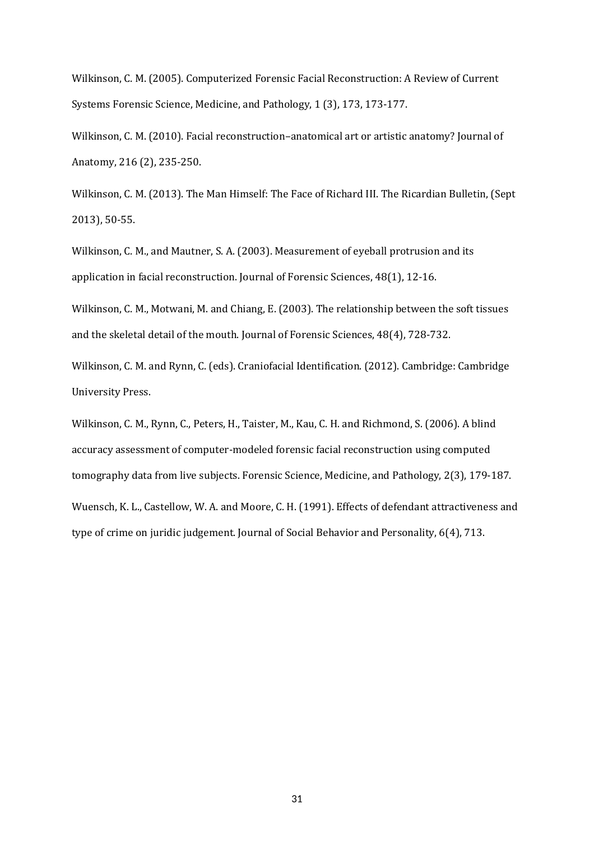Wilkinson, C. M. (2005). Computerized Forensic Facial Reconstruction: A Review of Current Systems Forensic Science, Medicine, and Pathology, 1 (3), 173, 173-177.

Wilkinson, C. M. (2010). Facial reconstruction–anatomical art or artistic anatomy? Journal of Anatomy, 216 (2), 235-250.

Wilkinson, C. M. (2013). The Man Himself: The Face of Richard III. The Ricardian Bulletin, (Sept 2013), 50-55.

Wilkinson, C. M., and Mautner, S. A. (2003). Measurement of eyeball protrusion and its application in facial reconstruction. Journal of Forensic Sciences, 48(1), 12-16.

Wilkinson, C. M., Motwani, M. and Chiang, E. (2003). The relationship between the soft tissues and the skeletal detail of the mouth. Journal of Forensic Sciences, 48(4), 728-732.

Wilkinson, C. M. and Rynn, C. (eds). Craniofacial Identification. (2012). Cambridge: Cambridge University Press.

Wilkinson, C. M., Rynn, C., Peters, H., Taister, M., Kau, C. H. and Richmond, S. (2006). A blind accuracy assessment of computer-modeled forensic facial reconstruction using computed tomography data from live subjects. Forensic Science, Medicine, and Pathology, 2(3), 179-187. Wuensch, K. L., Castellow, W. A. and Moore, C. H. (1991). Effects of defendant attractiveness and type of crime on juridic judgement. Journal of Social Behavior and Personality, 6(4), 713.